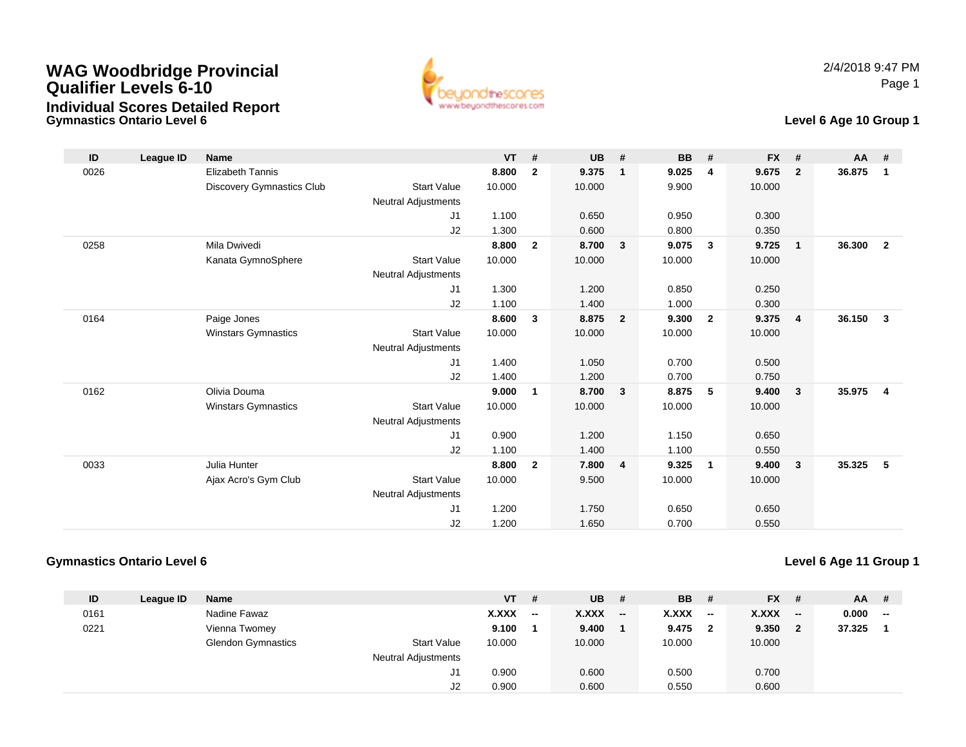



#### **Level 6 Age 10 Group 1**

| ID   | <b>League ID</b> | <b>Name</b>               |                            | <b>VT</b> | #              | <b>UB</b> | #              | <b>BB</b> | #                       | <b>FX</b> | #                       | <b>AA</b> | #              |
|------|------------------|---------------------------|----------------------------|-----------|----------------|-----------|----------------|-----------|-------------------------|-----------|-------------------------|-----------|----------------|
| 0026 |                  | <b>Elizabeth Tannis</b>   |                            | 8.800     | $\overline{2}$ | 9.375     | $\mathbf{1}$   | 9.025     | $\overline{\mathbf{4}}$ | 9.675     | $\overline{2}$          | 36.875    | $\mathbf{1}$   |
|      |                  | Discovery Gymnastics Club | <b>Start Value</b>         | 10.000    |                | 10.000    |                | 9.900     |                         | 10.000    |                         |           |                |
|      |                  |                           | Neutral Adjustments        |           |                |           |                |           |                         |           |                         |           |                |
|      |                  |                           | J1                         | 1.100     |                | 0.650     |                | 0.950     |                         | 0.300     |                         |           |                |
|      |                  |                           | J2                         | 1.300     |                | 0.600     |                | 0.800     |                         | 0.350     |                         |           |                |
| 0258 |                  | Mila Dwivedi              |                            | 8.800     | $\overline{2}$ | 8.700     | $\mathbf{3}$   | 9.075     | $\mathbf{3}$            | 9.725     | $\overline{1}$          | 36.300    | $\overline{2}$ |
|      |                  | Kanata GymnoSphere        | <b>Start Value</b>         | 10.000    |                | 10.000    |                | 10.000    |                         | 10.000    |                         |           |                |
|      |                  |                           | <b>Neutral Adjustments</b> |           |                |           |                |           |                         |           |                         |           |                |
|      |                  |                           | J1                         | 1.300     |                | 1.200     |                | 0.850     |                         | 0.250     |                         |           |                |
|      |                  |                           | J2                         | 1.100     |                | 1.400     |                | 1.000     |                         | 0.300     |                         |           |                |
| 0164 |                  | Paige Jones               |                            | 8.600     | $\mathbf{3}$   | 8.875     | $\overline{2}$ | 9.300     | $\overline{2}$          | 9.375     | $\overline{4}$          | 36.150    | $\mathbf{3}$   |
|      |                  | Winstars Gymnastics       | <b>Start Value</b>         | 10.000    |                | 10.000    |                | 10.000    |                         | 10.000    |                         |           |                |
|      |                  |                           | <b>Neutral Adjustments</b> |           |                |           |                |           |                         |           |                         |           |                |
|      |                  |                           | J1                         | 1.400     |                | 1.050     |                | 0.700     |                         | 0.500     |                         |           |                |
|      |                  |                           | J2                         | 1.400     |                | 1.200     |                | 0.700     |                         | 0.750     |                         |           |                |
| 0162 |                  | Olivia Douma              |                            | 9.000     | 1              | 8.700     | $\mathbf{3}$   | 8.875     | 5                       | 9.400     | $\overline{\mathbf{3}}$ | 35.975    | 4              |
|      |                  | Winstars Gymnastics       | <b>Start Value</b>         | 10.000    |                | 10.000    |                | 10.000    |                         | 10.000    |                         |           |                |
|      |                  |                           | Neutral Adjustments        |           |                |           |                |           |                         |           |                         |           |                |
|      |                  |                           | J1                         | 0.900     |                | 1.200     |                | 1.150     |                         | 0.650     |                         |           |                |
|      |                  |                           | J2                         | 1.100     |                | 1.400     |                | 1.100     |                         | 0.550     |                         |           |                |
| 0033 |                  | Julia Hunter              |                            | 8.800     | $\overline{2}$ | 7.800     | $\overline{4}$ | 9.325     | $\overline{1}$          | 9.400     | $\overline{\mathbf{3}}$ | 35.325    | -5             |
|      |                  | Ajax Acro's Gym Club      | <b>Start Value</b>         | 10.000    |                | 9.500     |                | 10.000    |                         | 10.000    |                         |           |                |
|      |                  |                           | <b>Neutral Adjustments</b> |           |                |           |                |           |                         |           |                         |           |                |
|      |                  |                           | J1                         | 1.200     |                | 1.750     |                | 0.650     |                         | 0.650     |                         |           |                |
|      |                  |                           | J2                         | 1.200     |                | 1.650     |                | 0.700     |                         | 0.550     |                         |           |                |

#### **Gymnastics Ontario Level 6**

| ID   | League ID | <b>Name</b>               |                            | <b>VT</b> | #                        | <b>UB</b>    | #     | <b>BB</b>    | -#           | <b>FX</b> | - #      | AA.    | - #                      |
|------|-----------|---------------------------|----------------------------|-----------|--------------------------|--------------|-------|--------------|--------------|-----------|----------|--------|--------------------------|
| 0161 |           | Nadine Fawaz              |                            | X.XXX     | $\overline{\phantom{a}}$ | <b>X.XXX</b> | $- -$ | <b>X.XXX</b> | $- -$        | X.XXX     | $-$      | 0.000  | $\overline{\phantom{a}}$ |
| 0221 |           | Vienna Twomey             |                            | 9.100     |                          | 9.400        |       | 9.475        | $\mathbf{2}$ | 9.350     | $\sim$ 2 | 37.325 |                          |
|      |           | <b>Glendon Gymnastics</b> | <b>Start Value</b>         | 10.000    |                          | 10.000       |       | 10.000       |              | 10.000    |          |        |                          |
|      |           |                           | <b>Neutral Adjustments</b> |           |                          |              |       |              |              |           |          |        |                          |
|      |           |                           | J1                         | 0.900     |                          | 0.600        |       | 0.500        |              | 0.700     |          |        |                          |
|      |           |                           | J2                         | 0.900     |                          | 0.600        |       | 0.550        |              | 0.600     |          |        |                          |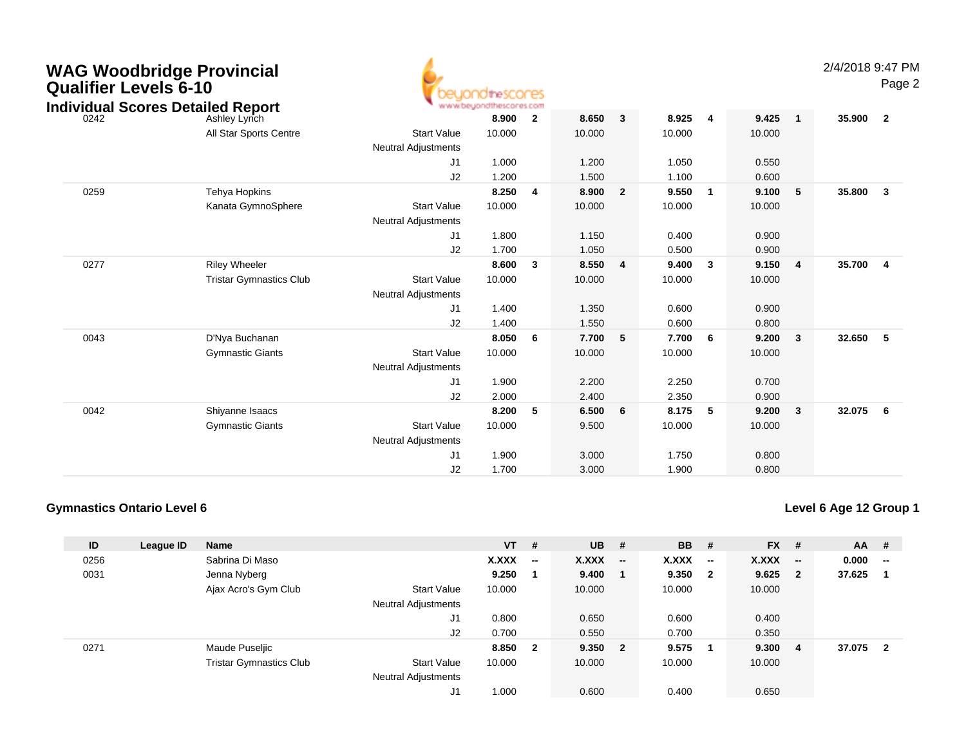| <b>WAG Woodbridge Provincial</b><br><b>Qualifier Levels 6-10</b><br><b>Individual Scores Detailed Report</b> |                                |                            | beuondthescores<br>www.beuondthescores.com |                         |        |                         |        |              |        |                | 2/4/2018 9:47 PM | Page 2                  |
|--------------------------------------------------------------------------------------------------------------|--------------------------------|----------------------------|--------------------------------------------|-------------------------|--------|-------------------------|--------|--------------|--------|----------------|------------------|-------------------------|
| 0242                                                                                                         | Ashley Lynch                   |                            | 8.900                                      | $\overline{\mathbf{2}}$ | 8.650  | 3                       | 8.925  | 4            | 9.425  | $\mathbf{1}$   | 35.900           | $\overline{\mathbf{2}}$ |
|                                                                                                              | All Star Sports Centre         | <b>Start Value</b>         | 10.000                                     |                         | 10.000 |                         | 10.000 |              | 10.000 |                |                  |                         |
|                                                                                                              |                                | <b>Neutral Adjustments</b> |                                            |                         |        |                         |        |              |        |                |                  |                         |
|                                                                                                              |                                | J <sub>1</sub>             | 1.000                                      |                         | 1.200  |                         | 1.050  |              | 0.550  |                |                  |                         |
|                                                                                                              |                                | J2                         | 1.200                                      |                         | 1.500  |                         | 1.100  |              | 0.600  |                |                  |                         |
| 0259                                                                                                         | Tehya Hopkins                  |                            | 8.250                                      | 4                       | 8.900  | $\overline{2}$          | 9.550  | $\mathbf{1}$ | 9.100  | 5              | 35.800           | $\overline{\mathbf{3}}$ |
|                                                                                                              | Kanata GymnoSphere             | <b>Start Value</b>         | 10.000                                     |                         | 10.000 |                         | 10.000 |              | 10.000 |                |                  |                         |
|                                                                                                              |                                | <b>Neutral Adjustments</b> |                                            |                         |        |                         |        |              |        |                |                  |                         |
|                                                                                                              |                                | J <sub>1</sub>             | 1.800                                      |                         | 1.150  |                         | 0.400  |              | 0.900  |                |                  |                         |
|                                                                                                              |                                | J2                         | 1.700                                      |                         | 1.050  |                         | 0.500  |              | 0.900  |                |                  |                         |
| 0277                                                                                                         | <b>Riley Wheeler</b>           |                            | 8.600                                      | 3                       | 8.550  | $\overline{\mathbf{4}}$ | 9.400  | 3            | 9.150  | $\overline{4}$ | 35.700           | -4                      |
|                                                                                                              | <b>Tristar Gymnastics Club</b> | <b>Start Value</b>         | 10.000                                     |                         | 10.000 |                         | 10.000 |              | 10.000 |                |                  |                         |
|                                                                                                              |                                | <b>Neutral Adjustments</b> |                                            |                         |        |                         |        |              |        |                |                  |                         |
|                                                                                                              |                                | J <sub>1</sub>             | 1.400                                      |                         | 1.350  |                         | 0.600  |              | 0.900  |                |                  |                         |
|                                                                                                              |                                | J2                         | 1.400                                      |                         | 1.550  |                         | 0.600  |              | 0.800  |                |                  |                         |
| 0043                                                                                                         | D'Nya Buchanan                 |                            | 8.050                                      | 6                       | 7.700  | 5                       | 7.700  | 6            | 9.200  | 3              | 32.650           | 5                       |
|                                                                                                              | <b>Gymnastic Giants</b>        | <b>Start Value</b>         | 10.000                                     |                         | 10.000 |                         | 10.000 |              | 10.000 |                |                  |                         |
|                                                                                                              |                                | <b>Neutral Adjustments</b> |                                            |                         |        |                         |        |              |        |                |                  |                         |

| 0043 | D'Nya Buchanan          |                            | 8.050  | 6 | 7.700  | -5  | 7.700  | 6  | 9.200  | 3   | 32.650   | -5 |
|------|-------------------------|----------------------------|--------|---|--------|-----|--------|----|--------|-----|----------|----|
|      | <b>Gymnastic Giants</b> | <b>Start Value</b>         | 10.000 |   | 10.000 |     | 10.000 |    | 10.000 |     |          |    |
|      |                         | <b>Neutral Adjustments</b> |        |   |        |     |        |    |        |     |          |    |
|      |                         | J1                         | 1.900  |   | 2.200  |     | 2.250  |    | 0.700  |     |          |    |
|      |                         | J2                         | 2.000  |   | 2.400  |     | 2.350  |    | 0.900  |     |          |    |
| 0042 | Shiyanne Isaacs         |                            | 8.200  | 5 | 6.500  | - 6 | 8.175  | -5 | 9.200  | - 3 | 32.075 6 |    |
|      | <b>Gymnastic Giants</b> | Start Value                | 10.000 |   | 9.500  |     | 10.000 |    | 10.000 |     |          |    |
|      |                         | <b>Neutral Adjustments</b> |        |   |        |     |        |    |        |     |          |    |
|      |                         | J1                         | 1.900  |   | 3.000  |     | 1.750  |    | 0.800  |     |          |    |
|      |                         | J2                         | 1.700  |   | 3.000  |     | 1.900  |    | 0.800  |     |          |    |

### **Gymnastics Ontario Level 6**

| ID   | League ID | Name                           |                            | <b>VT</b> | #                       | <b>UB</b> | #                        | <b>BB</b> | #                        | <b>FX</b> | #                        | $AA$ # |                                                   |
|------|-----------|--------------------------------|----------------------------|-----------|-------------------------|-----------|--------------------------|-----------|--------------------------|-----------|--------------------------|--------|---------------------------------------------------|
| 0256 |           | Sabrina Di Maso                |                            | X.XXX     | $\sim$                  | X.XXX     | $\overline{\phantom{a}}$ | X.XXX     | $\overline{\phantom{a}}$ | X.XXX     | $\overline{\phantom{a}}$ | 0.000  | $\hspace{0.05cm}-\hspace{0.05cm}-\hspace{0.05cm}$ |
| 0031 |           | Jenna Nyberg                   |                            | 9.250     | - 1                     | 9.400     |                          | 9.350     | $\mathbf{2}$             | 9.625     | $\overline{2}$           | 37.625 |                                                   |
|      |           | Ajax Acro's Gym Club           | <b>Start Value</b>         | 10.000    |                         | 10.000    |                          | 10.000    |                          | 10.000    |                          |        |                                                   |
|      |           |                                | <b>Neutral Adjustments</b> |           |                         |           |                          |           |                          |           |                          |        |                                                   |
|      |           |                                | J1                         | 0.800     |                         | 0.650     |                          | 0.600     |                          | 0.400     |                          |        |                                                   |
|      |           |                                | J <sub>2</sub>             | 0.700     |                         | 0.550     |                          | 0.700     |                          | 0.350     |                          |        |                                                   |
| 0271 |           | Maude Puseljic                 |                            | 8.850     | $\overline{\mathbf{2}}$ | 9.350     | $\overline{\mathbf{2}}$  | 9.575     |                          | 9.300     | 4                        | 37.075 | $\mathbf 2$                                       |
|      |           | <b>Tristar Gymnastics Club</b> | <b>Start Value</b>         | 10.000    |                         | 10.000    |                          | 10.000    |                          | 10.000    |                          |        |                                                   |
|      |           |                                | <b>Neutral Adjustments</b> |           |                         |           |                          |           |                          |           |                          |        |                                                   |
|      |           |                                | J1                         | 1.000     |                         | 0.600     |                          | 0.400     |                          | 0.650     |                          |        |                                                   |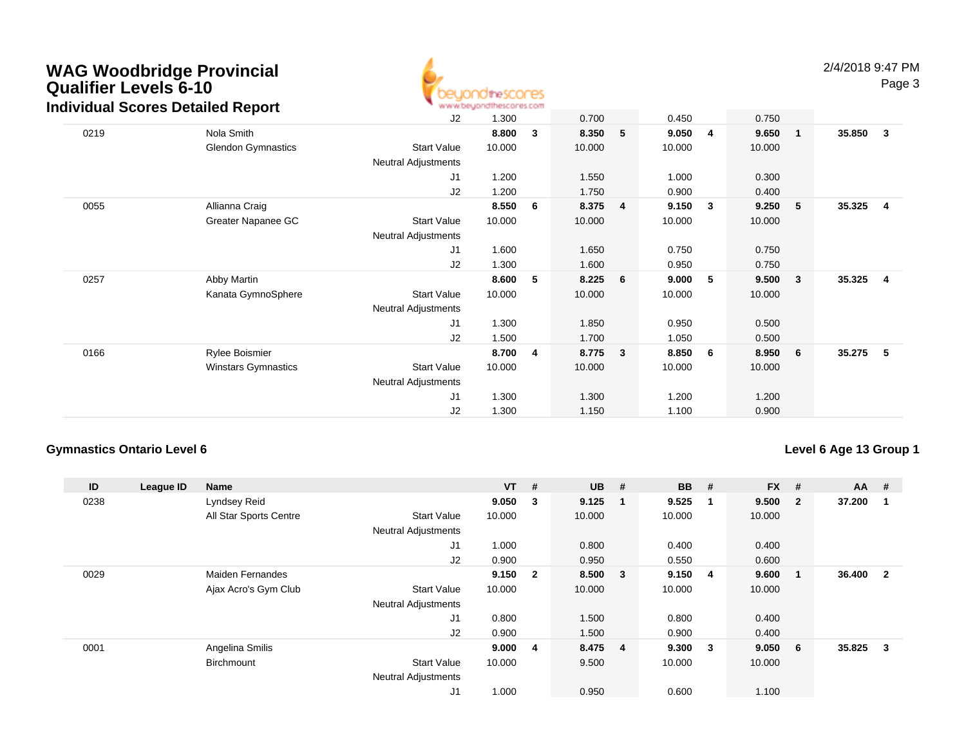

| $\overline{1}$          | 35.850<br>3                                                                                                                                               |
|-------------------------|-----------------------------------------------------------------------------------------------------------------------------------------------------------|
|                         |                                                                                                                                                           |
|                         |                                                                                                                                                           |
|                         |                                                                                                                                                           |
|                         |                                                                                                                                                           |
| $-5$                    | 35.325<br>4                                                                                                                                               |
|                         |                                                                                                                                                           |
|                         |                                                                                                                                                           |
|                         |                                                                                                                                                           |
|                         |                                                                                                                                                           |
| $\overline{\mathbf{3}}$ | 35.325<br>4                                                                                                                                               |
|                         |                                                                                                                                                           |
|                         |                                                                                                                                                           |
|                         |                                                                                                                                                           |
|                         |                                                                                                                                                           |
| 6                       | 35.275<br>5                                                                                                                                               |
|                         |                                                                                                                                                           |
|                         |                                                                                                                                                           |
|                         |                                                                                                                                                           |
|                         |                                                                                                                                                           |
|                         | 0.750<br>9.650<br>10.000<br>0.300<br>0.400<br>9.250<br>10.000<br>0.750<br>0.750<br>9.500<br>10.000<br>0.500<br>0.500<br>8.950<br>10.000<br>1.200<br>0.900 |

### **Gymnastics Ontario Level 6**

| ID   | League ID | <b>Name</b>             |                            | $VT$ # |                | <b>UB</b> | #                       | <b>BB</b> | #            | <b>FX</b> | #            | $AA$ # |                         |
|------|-----------|-------------------------|----------------------------|--------|----------------|-----------|-------------------------|-----------|--------------|-----------|--------------|--------|-------------------------|
| 0238 |           | Lyndsey Reid            |                            | 9.050  | 3              | 9.125     | - 1                     | 9.525     | -1           | 9.500     | $\mathbf{2}$ | 37.200 |                         |
|      |           | All Star Sports Centre  | <b>Start Value</b>         | 10.000 |                | 10.000    |                         | 10.000    |              | 10.000    |              |        |                         |
|      |           |                         | <b>Neutral Adjustments</b> |        |                |           |                         |           |              |           |              |        |                         |
|      |           |                         | J <sub>1</sub>             | 1.000  |                | 0.800     |                         | 0.400     |              | 0.400     |              |        |                         |
|      |           |                         | J2                         | 0.900  |                | 0.950     |                         | 0.550     |              | 0.600     |              |        |                         |
| 0029 |           | <b>Maiden Fernandes</b> |                            | 9.150  | $\overline{2}$ | 8.500     | $\overline{\mathbf{3}}$ | 9.150     | -4           | 9.600     | $\mathbf 1$  | 36.400 | $\overline{\mathbf{2}}$ |
|      |           | Ajax Acro's Gym Club    | <b>Start Value</b>         | 10.000 |                | 10.000    |                         | 10.000    |              | 10.000    |              |        |                         |
|      |           |                         | <b>Neutral Adjustments</b> |        |                |           |                         |           |              |           |              |        |                         |
|      |           |                         | J <sub>1</sub>             | 0.800  |                | 1.500     |                         | 0.800     |              | 0.400     |              |        |                         |
|      |           |                         | J2                         | 0.900  |                | 1.500     |                         | 0.900     |              | 0.400     |              |        |                         |
| 0001 |           | Angelina Smilis         |                            | 9.000  | $\overline{4}$ | 8.475 4   |                         | 9.300     | $\mathbf{3}$ | 9.050     | 6            | 35.825 | 3                       |
|      |           | Birchmount              | <b>Start Value</b>         | 10.000 |                | 9.500     |                         | 10.000    |              | 10.000    |              |        |                         |
|      |           |                         | <b>Neutral Adjustments</b> |        |                |           |                         |           |              |           |              |        |                         |
|      |           |                         | J <sub>1</sub>             | 1.000  |                | 0.950     |                         | 0.600     |              | 1.100     |              |        |                         |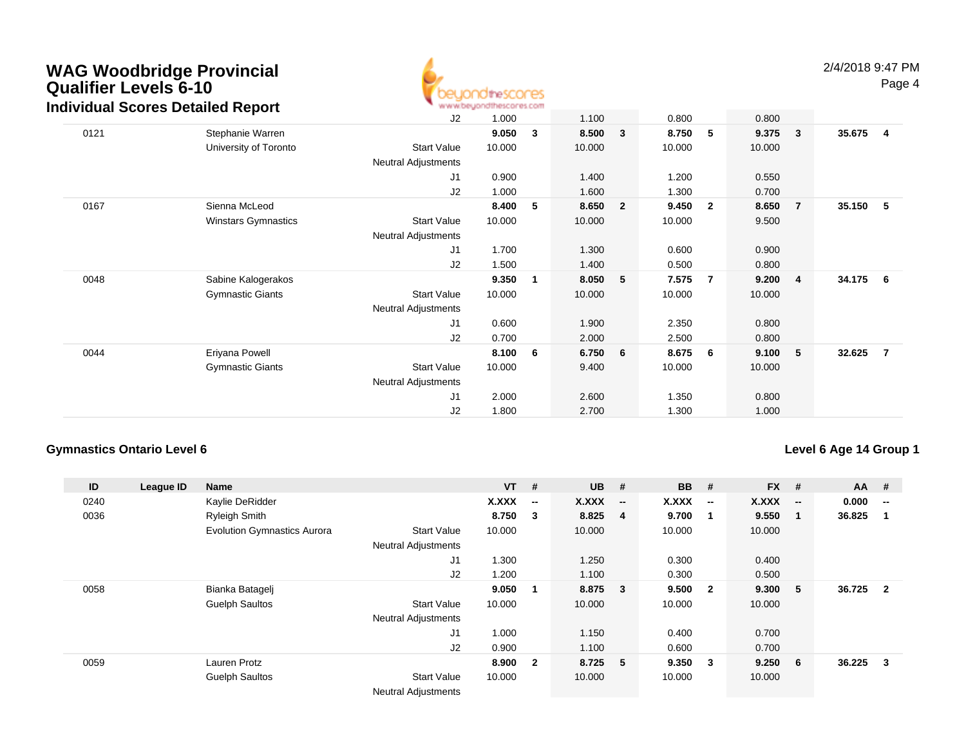

|      | aividual Scores Detailed Report |                            | ALAUM/DR/NYLIOLIUS/COLISS/COLL |   |        |                |        |                |        |                |        |     |
|------|---------------------------------|----------------------------|--------------------------------|---|--------|----------------|--------|----------------|--------|----------------|--------|-----|
|      |                                 | J2                         | 1.000                          |   | 1.100  |                | 0.800  |                | 0.800  |                |        |     |
| 0121 | Stephanie Warren                |                            | 9.050                          | 3 | 8.500  | 3              | 8.750  | 5              | 9.375  | $\sqrt{3}$     | 35.675 | 4   |
|      | University of Toronto           | <b>Start Value</b>         | 10.000                         |   | 10.000 |                | 10.000 |                | 10.000 |                |        |     |
|      |                                 | Neutral Adjustments        |                                |   |        |                |        |                |        |                |        |     |
|      |                                 | J <sub>1</sub>             | 0.900                          |   | 1.400  |                | 1.200  |                | 0.550  |                |        |     |
|      |                                 | J2                         | 1.000                          |   | 1.600  |                | 1.300  |                | 0.700  |                |        |     |
| 0167 | Sienna McLeod                   |                            | 8.400                          | 5 | 8.650  | $\overline{2}$ | 9.450  | $\overline{2}$ | 8.650  | $\overline{7}$ | 35.150 | -5  |
|      | Winstars Gymnastics             | <b>Start Value</b>         | 10.000                         |   | 10.000 |                | 10.000 |                | 9.500  |                |        |     |
|      |                                 | Neutral Adjustments        |                                |   |        |                |        |                |        |                |        |     |
|      |                                 | J1                         | 1.700                          |   | 1.300  |                | 0.600  |                | 0.900  |                |        |     |
|      |                                 | J2                         | 1.500                          |   | 1.400  |                | 0.500  |                | 0.800  |                |        |     |
| 0048 | Sabine Kalogerakos              |                            | 9.350                          | 1 | 8.050  | 5              | 7.575  | 7              | 9.200  | $\overline{4}$ | 34.175 | - 6 |
|      | <b>Gymnastic Giants</b>         | <b>Start Value</b>         | 10.000                         |   | 10.000 |                | 10.000 |                | 10.000 |                |        |     |
|      |                                 | <b>Neutral Adjustments</b> |                                |   |        |                |        |                |        |                |        |     |
|      |                                 | J1                         | 0.600                          |   | 1.900  |                | 2.350  |                | 0.800  |                |        |     |
|      |                                 | J2                         | 0.700                          |   | 2.000  |                | 2.500  |                | 0.800  |                |        |     |
| 0044 | Eriyana Powell                  |                            | 8.100                          | 6 | 6.750  | 6 <sup>o</sup> | 8.675  | 6              | 9.100  | 5              | 32.625 | -7  |
|      | <b>Gymnastic Giants</b>         | <b>Start Value</b>         | 10.000                         |   | 9.400  |                | 10.000 |                | 10.000 |                |        |     |
|      |                                 | Neutral Adjustments        |                                |   |        |                |        |                |        |                |        |     |
|      |                                 | J1                         | 2.000                          |   | 2.600  |                | 1.350  |                | 0.800  |                |        |     |
|      |                                 | J2                         | 1.800                          |   | 2.700  |                | 1.300  |                | 1.000  |                |        |     |
|      |                                 |                            |                                |   |        |                |        |                |        |                |        |     |

### **Gymnastics Ontario Level 6**

| ID   | League ID | <b>Name</b>                        |                            | $VT$ # |                          | <b>UB</b> | #            | <b>BB</b> | #                        | <b>FX</b> | #                        | $AA$ # |                |
|------|-----------|------------------------------------|----------------------------|--------|--------------------------|-----------|--------------|-----------|--------------------------|-----------|--------------------------|--------|----------------|
| 0240 |           | Kaylie DeRidder                    |                            | X.XXX  | $\overline{\phantom{a}}$ | X.XXX     | $-$          | X.XXX     | $\overline{\phantom{a}}$ | X.XXX     | $\overline{\phantom{a}}$ | 0.000  | $\sim$         |
| 0036 |           | <b>Ryleigh Smith</b>               |                            | 8.750  | $\mathbf{3}$             | 8.825     | - 4          | 9.700     | - 1                      | 9.550     | -1                       | 36.825 |                |
|      |           | <b>Evolution Gymnastics Aurora</b> | <b>Start Value</b>         | 10.000 |                          | 10.000    |              | 10.000    |                          | 10.000    |                          |        |                |
|      |           |                                    | <b>Neutral Adjustments</b> |        |                          |           |              |           |                          |           |                          |        |                |
|      |           |                                    | J1                         | 1.300  |                          | 1.250     |              | 0.300     |                          | 0.400     |                          |        |                |
|      |           |                                    | J2                         | 1.200  |                          | 1.100     |              | 0.300     |                          | 0.500     |                          |        |                |
| 0058 |           | Bianka Batagelj                    |                            | 9.050  |                          | 8.875     | $\mathbf{3}$ | 9.500     | $\overline{\mathbf{2}}$  | 9.300     | 5                        | 36.725 | $\overline{2}$ |
|      |           | <b>Guelph Saultos</b>              | <b>Start Value</b>         | 10.000 |                          | 10.000    |              | 10.000    |                          | 10.000    |                          |        |                |
|      |           |                                    | <b>Neutral Adjustments</b> |        |                          |           |              |           |                          |           |                          |        |                |
|      |           |                                    | J1                         | 1.000  |                          | 1.150     |              | 0.400     |                          | 0.700     |                          |        |                |
|      |           |                                    | J2                         | 0.900  |                          | 1.100     |              | 0.600     |                          | 0.700     |                          |        |                |
| 0059 |           | Lauren Protz                       |                            | 8.900  | $\overline{2}$           | 8.725 5   |              | 9.350     | $\overline{\mathbf{3}}$  | 9.250     | 6                        | 36.225 | 3              |
|      |           | Guelph Saultos                     | <b>Start Value</b>         | 10.000 |                          | 10.000    |              | 10.000    |                          | 10.000    |                          |        |                |
|      |           |                                    | <b>Neutral Adjustments</b> |        |                          |           |              |           |                          |           |                          |        |                |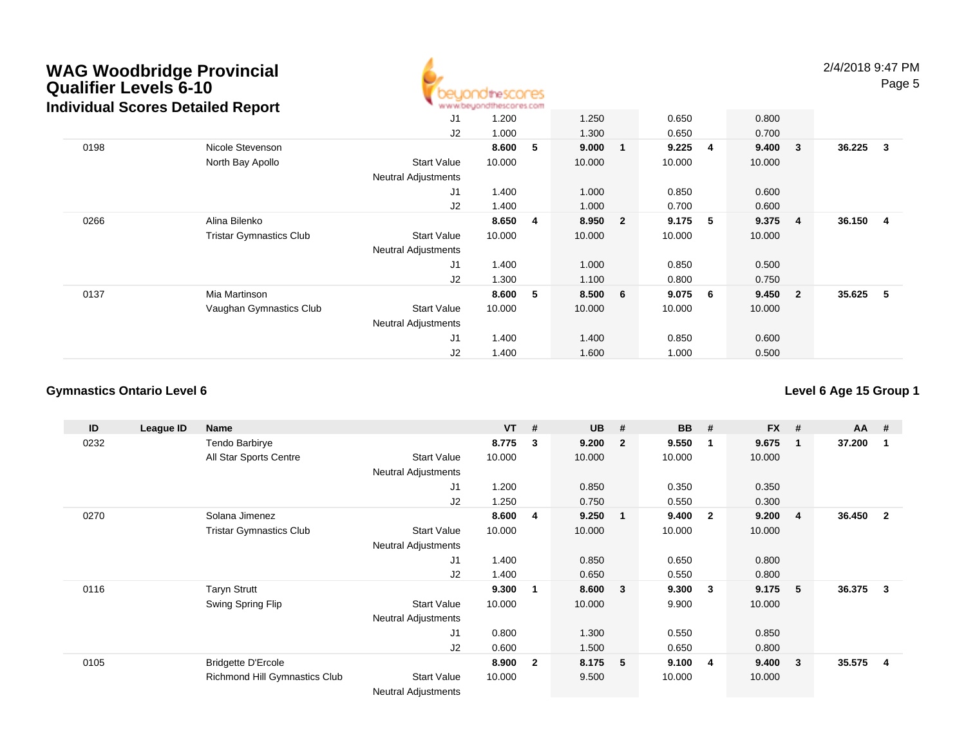

2/4/2018 9:47 PMPage 5

|      | idividual occies Detailed Report |                            |        |   |         |    |        |                 |        |                         |        |                |
|------|----------------------------------|----------------------------|--------|---|---------|----|--------|-----------------|--------|-------------------------|--------|----------------|
|      |                                  | J1                         | 1.200  |   | 1.250   |    | 0.650  |                 | 0.800  |                         |        |                |
|      |                                  | J <sub>2</sub>             | 1.000  |   | 1.300   |    | 0.650  |                 | 0.700  |                         |        |                |
| 0198 | Nicole Stevenson                 |                            | 8.600  | 5 | 9.000   | -1 | 9.225  | 4               | 9.400  | $\overline{\mathbf{3}}$ | 36.225 | -3             |
|      | North Bay Apollo                 | <b>Start Value</b>         | 10.000 |   | 10.000  |    | 10.000 |                 | 10.000 |                         |        |                |
|      |                                  | <b>Neutral Adjustments</b> |        |   |         |    |        |                 |        |                         |        |                |
|      |                                  | J <sub>1</sub>             | 1.400  |   | 1.000   |    | 0.850  |                 | 0.600  |                         |        |                |
|      |                                  | J <sub>2</sub>             | 1.400  |   | 1.000   |    | 0.700  |                 | 0.600  |                         |        |                |
| 0266 | Alina Bilenko                    |                            | 8.650  | 4 | 8.950 2 |    | 9.175  | 5               | 9.375  | $\overline{\mathbf{4}}$ | 36.150 | $\overline{4}$ |
|      | <b>Tristar Gymnastics Club</b>   | <b>Start Value</b>         | 10.000 |   | 10.000  |    | 10.000 |                 | 10.000 |                         |        |                |
|      |                                  | <b>Neutral Adjustments</b> |        |   |         |    |        |                 |        |                         |        |                |
|      |                                  | J <sub>1</sub>             | 1.400  |   | 1.000   |    | 0.850  |                 | 0.500  |                         |        |                |
|      |                                  | J <sub>2</sub>             | 1.300  |   | 1.100   |    | 0.800  |                 | 0.750  |                         |        |                |
| 0137 | Mia Martinson                    |                            | 8.600  | 5 | 8.500 6 |    | 9.075  | $6\overline{6}$ | 9.450  | $\overline{\mathbf{2}}$ | 35.625 | 5              |
|      | Vaughan Gymnastics Club          | <b>Start Value</b>         | 10.000 |   | 10.000  |    | 10.000 |                 | 10.000 |                         |        |                |
|      |                                  | <b>Neutral Adjustments</b> |        |   |         |    |        |                 |        |                         |        |                |
|      |                                  | J <sub>1</sub>             | 1.400  |   | 1.400   |    | 0.850  |                 | 0.600  |                         |        |                |
|      |                                  | J <sub>2</sub>             | 1.400  |   | 1.600   |    | 1.000  |                 | 0.500  |                         |        |                |

### **Gymnastics Ontario Level 6**

| ID   | League ID | Name                           |                            | $VT$ # |                | <b>UB</b> | #                       | <b>BB</b> | #            | <b>FX</b> | #            | <b>AA</b> | #            |
|------|-----------|--------------------------------|----------------------------|--------|----------------|-----------|-------------------------|-----------|--------------|-----------|--------------|-----------|--------------|
| 0232 |           | Tendo Barbirye                 |                            | 8.775  | 3              | 9.200     | $\overline{\mathbf{2}}$ | 9.550     | $\mathbf 1$  | 9.675     | $\mathbf{1}$ | 37.200    |              |
|      |           | All Star Sports Centre         | <b>Start Value</b>         | 10.000 |                | 10.000    |                         | 10.000    |              | 10.000    |              |           |              |
|      |           |                                | <b>Neutral Adjustments</b> |        |                |           |                         |           |              |           |              |           |              |
|      |           |                                | J <sub>1</sub>             | 1.200  |                | 0.850     |                         | 0.350     |              | 0.350     |              |           |              |
|      |           |                                | J <sub>2</sub>             | 1.250  |                | 0.750     |                         | 0.550     |              | 0.300     |              |           |              |
| 0270 |           | Solana Jimenez                 |                            | 8.600  | 4              | 9.250     | $\overline{\mathbf{1}}$ | 9.400     | $\mathbf{2}$ | 9.200     | 4            | 36.450    | $\mathbf{2}$ |
|      |           | <b>Tristar Gymnastics Club</b> | <b>Start Value</b>         | 10.000 |                | 10.000    |                         | 10.000    |              | 10.000    |              |           |              |
|      |           |                                | <b>Neutral Adjustments</b> |        |                |           |                         |           |              |           |              |           |              |
|      |           |                                | J <sub>1</sub>             | 1.400  |                | 0.850     |                         | 0.650     |              | 0.800     |              |           |              |
|      |           |                                | J2                         | 1.400  |                | 0.650     |                         | 0.550     |              | 0.800     |              |           |              |
| 0116 |           | <b>Taryn Strutt</b>            |                            | 9.300  | 1              | 8.600     | $\overline{\mathbf{3}}$ | 9.300     | 3            | 9.175     | 5            | 36.375    | 3            |
|      |           | Swing Spring Flip              | Start Value                | 10.000 |                | 10.000    |                         | 9.900     |              | 10.000    |              |           |              |
|      |           |                                | Neutral Adjustments        |        |                |           |                         |           |              |           |              |           |              |
|      |           |                                | J1                         | 0.800  |                | 1.300     |                         | 0.550     |              | 0.850     |              |           |              |
|      |           |                                | J <sub>2</sub>             | 0.600  |                | 1.500     |                         | 0.650     |              | 0.800     |              |           |              |
| 0105 |           | <b>Bridgette D'Ercole</b>      |                            | 8.900  | $\overline{2}$ | 8.175     | - 5                     | 9.100     | -4           | 9.400     | 3            | 35.575    | 4            |
|      |           | Richmond Hill Gymnastics Club  | <b>Start Value</b>         | 10.000 |                | 9.500     |                         | 10.000    |              | 10.000    |              |           |              |
|      |           |                                | <b>Neutral Adjustments</b> |        |                |           |                         |           |              |           |              |           |              |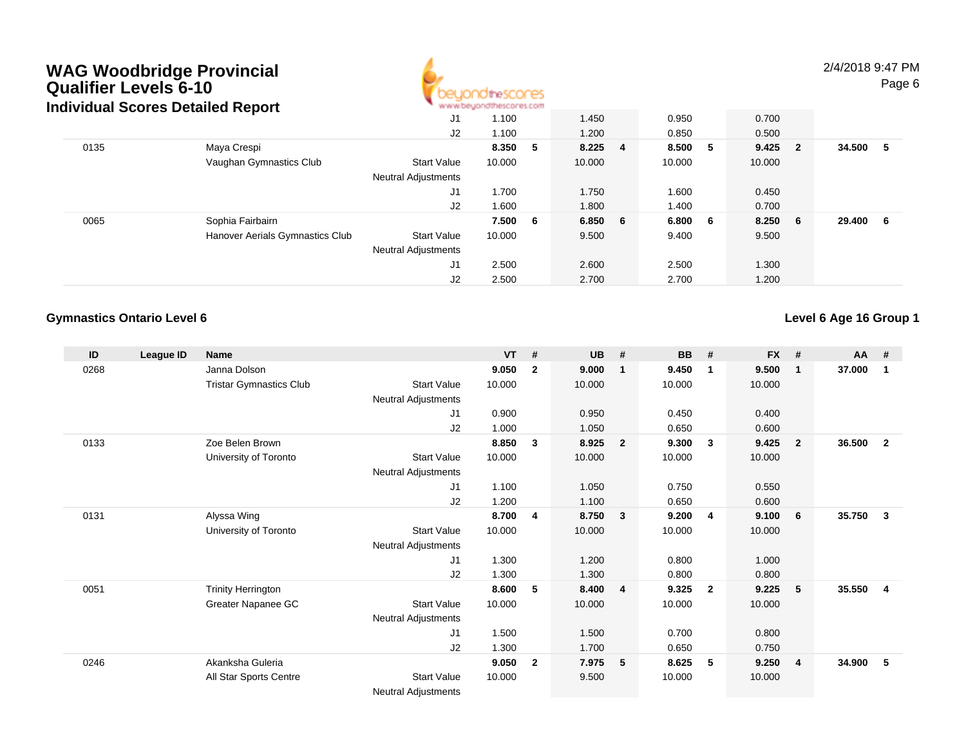

2/4/2018 9:47 PMPage 6

|      | Individual Scores Detailed Report |                            | www.beyondthescores.com |     |         |    |         |           |        |     |
|------|-----------------------------------|----------------------------|-------------------------|-----|---------|----|---------|-----------|--------|-----|
|      |                                   | J1                         | 1.100                   |     | 1.450   |    | 0.950   | 0.700     |        |     |
|      |                                   | J2                         | 1.100                   |     | 1.200   |    | 0.850   | 0.500     |        |     |
| 0135 | Maya Crespi                       |                            | 8.350                   | - 5 | 8.225   | -4 | 8.500 5 | $9.425$ 2 | 34.500 | -5  |
|      | Vaughan Gymnastics Club           | <b>Start Value</b>         | 10.000                  |     | 10.000  |    | 10.000  | 10.000    |        |     |
|      |                                   | <b>Neutral Adjustments</b> |                         |     |         |    |         |           |        |     |
|      |                                   | J1                         | 1.700                   |     | 1.750   |    | 1.600   | 0.450     |        |     |
|      |                                   | J2                         | 1.600                   |     | 1.800   |    | 1.400   | 0.700     |        |     |
| 0065 | Sophia Fairbairn                  |                            | 7.500                   | - 6 | 6.850 6 |    | 6.800 6 | $8.250$ 6 | 29,400 | - 6 |
|      | Hanover Aerials Gymnastics Club   | <b>Start Value</b>         | 10.000                  |     | 9.500   |    | 9.400   | 9.500     |        |     |
|      |                                   | <b>Neutral Adjustments</b> |                         |     |         |    |         |           |        |     |
|      |                                   | J1                         | 2.500                   |     | 2.600   |    | 2.500   | 1.300     |        |     |
|      |                                   | J2                         | 2.500                   |     | 2.700   |    | 2.700   | 1.200     |        |     |

#### **Gymnastics Ontario Level 6**

| ID   | League ID | <b>Name</b>                    |                            | <b>VT</b> | #            | <b>UB</b> | #                       | <b>BB</b> | #              | <b>FX</b> | #              | <b>AA</b> | #              |
|------|-----------|--------------------------------|----------------------------|-----------|--------------|-----------|-------------------------|-----------|----------------|-----------|----------------|-----------|----------------|
| 0268 |           | Janna Dolson                   |                            | 9.050     | $\mathbf{2}$ | 9.000     | $\mathbf 1$             | 9.450     | $\mathbf 1$    | 9.500     | $\mathbf 1$    | 37.000    | 1              |
|      |           | <b>Tristar Gymnastics Club</b> | <b>Start Value</b>         | 10.000    |              | 10.000    |                         | 10.000    |                | 10.000    |                |           |                |
|      |           |                                | Neutral Adjustments        |           |              |           |                         |           |                |           |                |           |                |
|      |           |                                | J <sub>1</sub>             | 0.900     |              | 0.950     |                         | 0.450     |                | 0.400     |                |           |                |
|      |           |                                | J <sub>2</sub>             | 1.000     |              | 1.050     |                         | 0.650     |                | 0.600     |                |           |                |
| 0133 |           | Zoe Belen Brown                |                            | 8.850     | 3            | 8.925     | $\overline{2}$          | 9.300     | $\mathbf{3}$   | 9.425     | $\overline{2}$ | 36.500    | $\overline{2}$ |
|      |           | University of Toronto          | <b>Start Value</b>         | 10.000    |              | 10.000    |                         | 10.000    |                | 10.000    |                |           |                |
|      |           |                                | <b>Neutral Adjustments</b> |           |              |           |                         |           |                |           |                |           |                |
|      |           |                                | J1                         | 1.100     |              | 1.050     |                         | 0.750     |                | 0.550     |                |           |                |
|      |           |                                | J <sub>2</sub>             | 1.200     |              | 1.100     |                         | 0.650     |                | 0.600     |                |           |                |
| 0131 |           | Alyssa Wing                    |                            | 8.700     | 4            | 8.750     | $\overline{\mathbf{3}}$ | 9.200     | -4             | 9.100     | 6              | 35.750    | 3              |
|      |           | University of Toronto          | <b>Start Value</b>         | 10.000    |              | 10.000    |                         | 10.000    |                | 10.000    |                |           |                |
|      |           |                                | <b>Neutral Adjustments</b> |           |              |           |                         |           |                |           |                |           |                |
|      |           |                                | J <sub>1</sub>             | 1.300     |              | 1.200     |                         | 0.800     |                | 1.000     |                |           |                |
|      |           |                                | J <sub>2</sub>             | 1.300     |              | 1.300     |                         | 0.800     |                | 0.800     |                |           |                |
| 0051 |           | <b>Trinity Herrington</b>      |                            | 8.600     | 5            | 8.400     | $\overline{4}$          | 9.325     | $\overline{2}$ | 9.225     | 5              | 35.550    | $\overline{4}$ |
|      |           | Greater Napanee GC             | <b>Start Value</b>         | 10.000    |              | 10.000    |                         | 10.000    |                | 10.000    |                |           |                |
|      |           |                                | <b>Neutral Adjustments</b> |           |              |           |                         |           |                |           |                |           |                |
|      |           |                                | J <sub>1</sub>             | 1.500     |              | 1.500     |                         | 0.700     |                | 0.800     |                |           |                |
|      |           |                                | J <sub>2</sub>             | 1.300     |              | 1.700     |                         | 0.650     |                | 0.750     |                |           |                |
| 0246 |           | Akanksha Guleria               |                            | 9.050     | $\mathbf{2}$ | 7.975     | $5^{\circ}$             | 8.625     | 5              | 9.250     | $\overline{4}$ | 34.900    | 5              |
|      |           | All Star Sports Centre         | <b>Start Value</b>         | 10.000    |              | 9.500     |                         | 10.000    |                | 10.000    |                |           |                |
|      |           |                                | <b>Neutral Adjustments</b> |           |              |           |                         |           |                |           |                |           |                |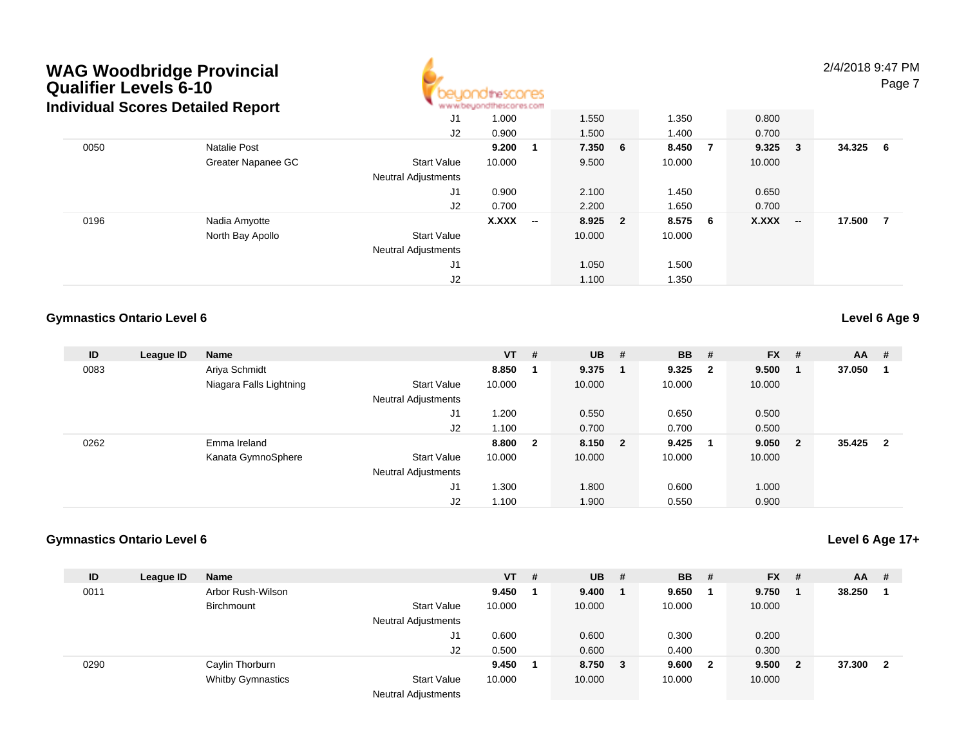

2/4/2018 9:47 PMPage 7

|                     | J1                                | 1.000        |                          | 1.550                   |                         | 1.350            | 0.800              |                          |                 |     |
|---------------------|-----------------------------------|--------------|--------------------------|-------------------------|-------------------------|------------------|--------------------|--------------------------|-----------------|-----|
|                     | J2                                | 0.900        |                          | 1.500                   |                         | 1.400            | 0.700              |                          |                 |     |
| <b>Natalie Post</b> |                                   | 9.200        |                          |                         |                         |                  |                    |                          | 34.325          | - 6 |
| Greater Napanee GC  | <b>Start Value</b>                | 10.000       |                          | 9.500                   |                         | 10.000           | 10.000             |                          |                 |     |
|                     | <b>Neutral Adjustments</b>        |              |                          |                         |                         |                  |                    |                          |                 |     |
|                     | J1                                | 0.900        |                          | 2.100                   |                         | 1.450            | 0.650              |                          |                 |     |
|                     | J2                                | 0.700        |                          | 2.200                   |                         | 1.650            | 0.700              |                          |                 |     |
| Nadia Amyotte       |                                   | <b>X.XXX</b> | $\overline{\phantom{a}}$ |                         | $\overline{\mathbf{2}}$ |                  | X.XXX              | $\overline{\phantom{a}}$ | 17.500          | -7  |
| North Bay Apollo    | <b>Start Value</b>                |              |                          | 10.000                  |                         | 10.000           |                    |                          |                 |     |
|                     | <b>Neutral Adjustments</b>        |              |                          |                         |                         |                  |                    |                          |                 |     |
|                     | J1                                |              |                          | 1.050                   |                         | 1.500            |                    |                          |                 |     |
|                     | J2                                |              |                          | 1.100                   |                         | 1.350            |                    |                          |                 |     |
|                     | Individual Scores Detailed Report |              |                          | www.beyondthescores.com |                         | 7.350 6<br>8.925 | 8.450 7<br>8.575 6 |                          | $9.325 \quad 3$ |     |

#### **Gymnastics Ontario Level 6**

**Level 6 Age 9**

| ID   | League ID | <b>Name</b>             |                            | $VT$ # |              | $UB$ #  | <b>BB</b> | - #                     | $FX$ # |                          | AA     | -#                      |
|------|-----------|-------------------------|----------------------------|--------|--------------|---------|-----------|-------------------------|--------|--------------------------|--------|-------------------------|
| 0083 |           | Ariya Schmidt           |                            | 8.850  |              | 9.375   | 9.325     | $\overline{\mathbf{2}}$ | 9.500  |                          | 37.050 |                         |
|      |           | Niagara Falls Lightning | <b>Start Value</b>         | 10.000 |              | 10.000  | 10.000    |                         | 10.000 |                          |        |                         |
|      |           |                         | <b>Neutral Adjustments</b> |        |              |         |           |                         |        |                          |        |                         |
|      |           |                         | J1                         | 1.200  |              | 0.550   | 0.650     |                         | 0.500  |                          |        |                         |
|      |           |                         | J2                         | 1.100  |              | 0.700   | 0.700     |                         | 0.500  |                          |        |                         |
| 0262 |           | Emma Ireland            |                            | 8.800  | $\mathbf{2}$ | 8.150 2 | 9.425     |                         | 9.050  | $\overline{\phantom{a}}$ | 35.425 | $\overline{\mathbf{2}}$ |
|      |           | Kanata GymnoSphere      | Start Value                | 10.000 |              | 10.000  | 10.000    |                         | 10.000 |                          |        |                         |
|      |           |                         | <b>Neutral Adjustments</b> |        |              |         |           |                         |        |                          |        |                         |
|      |           |                         | J1                         | 1.300  |              | 1.800   | 0.600     |                         | 1.000  |                          |        |                         |
|      |           |                         | J2                         | 1.100  |              | 1.900   | 0.550     |                         | 0.900  |                          |        |                         |

#### **Gymnastics Ontario Level 6**

| ID   | League ID | Name                     |                                            | $VT$ # | $UB$ #  | <b>BB</b> | - #                     | <b>FX</b> | -#  | <b>AA</b> | #  |
|------|-----------|--------------------------|--------------------------------------------|--------|---------|-----------|-------------------------|-----------|-----|-----------|----|
| 0011 |           | Arbor Rush-Wilson        |                                            | 9.450  | 9.400   | 9.650     |                         | 9.750     |     | 38.250    |    |
|      |           | Birchmount               | <b>Start Value</b>                         | 10.000 | 10.000  | 10.000    |                         | 10.000    |     |           |    |
|      |           |                          | <b>Neutral Adjustments</b>                 |        |         |           |                         |           |     |           |    |
|      |           |                          | J1                                         | 0.600  | 0.600   | 0.300     |                         | 0.200     |     |           |    |
|      |           |                          | J2                                         | 0.500  | 0.600   | 0.400     |                         | 0.300     |     |           |    |
| 0290 |           | Caylin Thorburn          |                                            | 9.450  | 8.750 3 | 9.600     | $\overline{\mathbf{2}}$ | 9.500     | - 2 | 37,300    | -2 |
|      |           | <b>Whitby Gymnastics</b> | <b>Start Value</b>                         | 10.000 | 10.000  | 10.000    |                         | 10.000    |     |           |    |
|      |           |                          | <b>Alla consult At all contact a state</b> |        |         |           |                         |           |     |           |    |

Neutral Adjustments

#### **Level 6 Age 17+**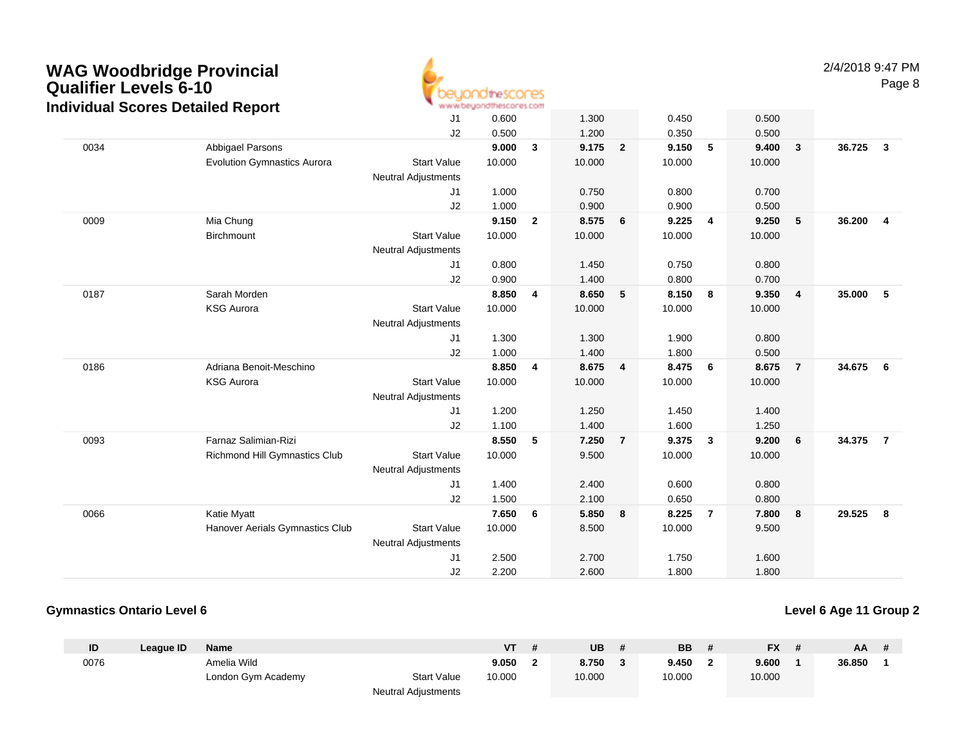

2/4/2018 9:47 PMPage 8

|      | dividual Occies Detailed Report    |                            |        |                |        |                |        |                |        |                         |        |                         |
|------|------------------------------------|----------------------------|--------|----------------|--------|----------------|--------|----------------|--------|-------------------------|--------|-------------------------|
|      |                                    | J <sub>1</sub>             | 0.600  |                | 1.300  |                | 0.450  |                | 0.500  |                         |        |                         |
|      |                                    | J <sub>2</sub>             | 0.500  |                | 1.200  |                | 0.350  |                | 0.500  |                         |        |                         |
| 0034 | Abbigael Parsons                   |                            | 9.000  | $\mathbf{3}$   | 9.175  | $\overline{2}$ | 9.150  | 5              | 9.400  | $\mathbf{3}$            | 36.725 | $\overline{\mathbf{3}}$ |
|      | <b>Evolution Gymnastics Aurora</b> | <b>Start Value</b>         | 10.000 |                | 10.000 |                | 10.000 |                | 10.000 |                         |        |                         |
|      |                                    | <b>Neutral Adjustments</b> |        |                |        |                |        |                |        |                         |        |                         |
|      |                                    | J1                         | 1.000  |                | 0.750  |                | 0.800  |                | 0.700  |                         |        |                         |
|      |                                    | J2                         | 1.000  |                | 0.900  |                | 0.900  |                | 0.500  |                         |        |                         |
| 0009 | Mia Chung                          |                            | 9.150  | $\mathbf{2}$   | 8.575  | 6              | 9.225  | $\overline{4}$ | 9.250  | $5\phantom{.0}$         | 36.200 | $\overline{4}$          |
|      | Birchmount                         | <b>Start Value</b>         | 10.000 |                | 10.000 |                | 10.000 |                | 10.000 |                         |        |                         |
|      |                                    | <b>Neutral Adjustments</b> |        |                |        |                |        |                |        |                         |        |                         |
|      |                                    | J1                         | 0.800  |                | 1.450  |                | 0.750  |                | 0.800  |                         |        |                         |
|      |                                    | J2                         | 0.900  |                | 1.400  |                | 0.800  |                | 0.700  |                         |        |                         |
| 0187 | Sarah Morden                       |                            | 8.850  | $\overline{4}$ | 8.650  | 5              | 8.150  | $\bf{8}$       | 9.350  | $\overline{\mathbf{4}}$ | 35.000 | 5                       |
|      | <b>KSG Aurora</b>                  | <b>Start Value</b>         | 10.000 |                | 10.000 |                | 10.000 |                | 10.000 |                         |        |                         |
|      |                                    | <b>Neutral Adjustments</b> |        |                |        |                |        |                |        |                         |        |                         |
|      |                                    | J1                         | 1.300  |                | 1.300  |                | 1.900  |                | 0.800  |                         |        |                         |
|      |                                    | J2                         | 1.000  |                | 1.400  |                | 1.800  |                | 0.500  |                         |        |                         |
| 0186 | Adriana Benoit-Meschino            |                            | 8.850  | $\overline{4}$ | 8.675  | 4              | 8.475  | 6              | 8.675  | $\overline{7}$          | 34.675 | 6                       |
|      | <b>KSG Aurora</b>                  | <b>Start Value</b>         | 10.000 |                | 10.000 |                | 10.000 |                | 10.000 |                         |        |                         |
|      |                                    | <b>Neutral Adjustments</b> |        |                |        |                |        |                |        |                         |        |                         |
|      |                                    | J <sub>1</sub>             | 1.200  |                | 1.250  |                | 1.450  |                | 1.400  |                         |        |                         |
|      |                                    | J2                         | 1.100  |                | 1.400  |                | 1.600  |                | 1.250  |                         |        |                         |
| 0093 | Farnaz Salimian-Rizi               |                            | 8.550  | 5              | 7.250  | $\overline{7}$ | 9.375  | $\mathbf{3}$   | 9.200  | 6                       | 34.375 | $\overline{7}$          |
|      | Richmond Hill Gymnastics Club      | <b>Start Value</b>         | 10.000 |                | 9.500  |                | 10.000 |                | 10.000 |                         |        |                         |
|      |                                    | Neutral Adjustments        |        |                |        |                |        |                |        |                         |        |                         |
|      |                                    | J1                         | 1.400  |                | 2.400  |                | 0.600  |                | 0.800  |                         |        |                         |
|      |                                    | J2                         | 1.500  |                | 2.100  |                | 0.650  |                | 0.800  |                         |        |                         |
| 0066 | Katie Myatt                        |                            | 7.650  | 6              | 5.850  | 8              | 8.225  | $\overline{7}$ | 7.800  | 8                       | 29.525 | 8                       |
|      | Hanover Aerials Gymnastics Club    | <b>Start Value</b>         | 10.000 |                | 8.500  |                | 10.000 |                | 9.500  |                         |        |                         |
|      |                                    | <b>Neutral Adjustments</b> |        |                |        |                |        |                |        |                         |        |                         |
|      |                                    | J1                         | 2.500  |                | 2.700  |                | 1.750  |                | 1.600  |                         |        |                         |
|      |                                    | J2                         | 2.200  |                | 2.600  |                | 1.800  |                | 1.800  |                         |        |                         |
|      |                                    |                            |        |                |        |                |        |                |        |                         |        |                         |

#### **Gymnastics Ontario Level 6**

| ID   | League ID | <b>Name</b>        |                     | <b>VT</b> | UB     | <b>BB</b> | <b>FX</b> | AA     | # |
|------|-----------|--------------------|---------------------|-----------|--------|-----------|-----------|--------|---|
| 0076 |           | Amelia Wild        |                     | 9.050     | 8.750  | 9.450     | 9.600     | 36.850 |   |
|      |           | London Gym Academy | <b>Start Value</b>  | 10.000    | 10.000 | 10.000    | 10.000    |        |   |
|      |           |                    | Neutral Adjustments |           |        |           |           |        |   |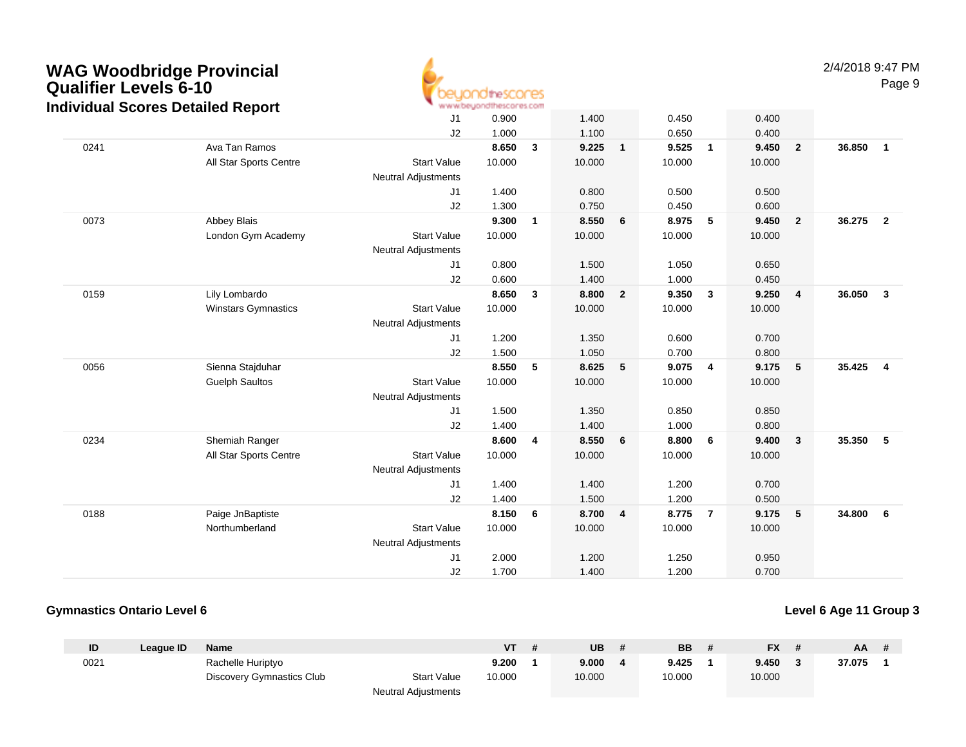

2/4/2018 9:47 PMPage 9

|      |                            | J <sub>1</sub>             | 0.900  |              | 1.400  |                | 0.450  |                | 0.400  |                         |        |                         |
|------|----------------------------|----------------------------|--------|--------------|--------|----------------|--------|----------------|--------|-------------------------|--------|-------------------------|
|      |                            | J2                         | 1.000  |              | 1.100  |                | 0.650  |                | 0.400  |                         |        |                         |
| 0241 | Ava Tan Ramos              |                            | 8.650  | 3            | 9.225  | $\mathbf{1}$   | 9.525  | $\overline{1}$ | 9.450  | $\overline{\mathbf{2}}$ | 36.850 | $\mathbf{1}$            |
|      | All Star Sports Centre     | <b>Start Value</b>         | 10.000 |              | 10.000 |                | 10.000 |                | 10.000 |                         |        |                         |
|      |                            | <b>Neutral Adjustments</b> |        |              |        |                |        |                |        |                         |        |                         |
|      |                            | J1                         | 1.400  |              | 0.800  |                | 0.500  |                | 0.500  |                         |        |                         |
|      |                            | J2                         | 1.300  |              | 0.750  |                | 0.450  |                | 0.600  |                         |        |                         |
| 0073 | Abbey Blais                |                            | 9.300  | $\mathbf{1}$ | 8.550  | 6              | 8.975  | 5              | 9.450  | $\overline{\mathbf{2}}$ | 36.275 | $\overline{\mathbf{2}}$ |
|      | London Gym Academy         | <b>Start Value</b>         | 10.000 |              | 10.000 |                | 10.000 |                | 10.000 |                         |        |                         |
|      |                            | <b>Neutral Adjustments</b> |        |              |        |                |        |                |        |                         |        |                         |
|      |                            | J1                         | 0.800  |              | 1.500  |                | 1.050  |                | 0.650  |                         |        |                         |
|      |                            | J2                         | 0.600  |              | 1.400  |                | 1.000  |                | 0.450  |                         |        |                         |
| 0159 | Lily Lombardo              |                            | 8.650  | 3            | 8.800  | $\overline{2}$ | 9.350  | $\mathbf{3}$   | 9.250  | $\overline{\mathbf{4}}$ | 36.050 | $\mathbf{3}$            |
|      | <b>Winstars Gymnastics</b> | <b>Start Value</b>         | 10.000 |              | 10.000 |                | 10.000 |                | 10.000 |                         |        |                         |
|      |                            | <b>Neutral Adjustments</b> |        |              |        |                |        |                |        |                         |        |                         |
|      |                            | J1                         | 1.200  |              | 1.350  |                | 0.600  |                | 0.700  |                         |        |                         |
|      |                            | J2                         | 1.500  |              | 1.050  |                | 0.700  |                | 0.800  |                         |        |                         |
| 0056 | Sienna Stajduhar           |                            | 8.550  | 5            | 8.625  | 5              | 9.075  | $\overline{4}$ | 9.175  | $-5$                    | 35.425 | $\overline{4}$          |
|      | <b>Guelph Saultos</b>      | <b>Start Value</b>         | 10.000 |              | 10.000 |                | 10.000 |                | 10.000 |                         |        |                         |
|      |                            | <b>Neutral Adjustments</b> |        |              |        |                |        |                |        |                         |        |                         |
|      |                            | J1                         | 1.500  |              | 1.350  |                | 0.850  |                | 0.850  |                         |        |                         |
|      |                            | J2                         | 1.400  |              | 1.400  |                | 1.000  |                | 0.800  |                         |        |                         |
| 0234 | Shemiah Ranger             |                            | 8.600  | 4            | 8.550  | 6              | 8.800  | 6              | 9.400  | $\overline{\mathbf{3}}$ | 35.350 | - 5                     |
|      | All Star Sports Centre     | <b>Start Value</b>         | 10.000 |              | 10.000 |                | 10.000 |                | 10.000 |                         |        |                         |
|      |                            | <b>Neutral Adjustments</b> |        |              |        |                |        |                |        |                         |        |                         |
|      |                            | J1                         | 1.400  |              | 1.400  |                | 1.200  |                | 0.700  |                         |        |                         |
|      |                            | J2                         | 1.400  |              | 1.500  |                | 1.200  |                | 0.500  |                         |        |                         |
| 0188 | Paige JnBaptiste           |                            | 8.150  | 6            | 8.700  | 4              | 8.775  | $\overline{7}$ | 9.175  | 5                       | 34.800 | 6                       |
|      | Northumberland             | <b>Start Value</b>         | 10.000 |              | 10.000 |                | 10.000 |                | 10.000 |                         |        |                         |
|      |                            | <b>Neutral Adjustments</b> |        |              |        |                |        |                |        |                         |        |                         |
|      |                            | J1                         | 2.000  |              | 1.200  |                | 1.250  |                | 0.950  |                         |        |                         |
|      |                            | J2                         | 1.700  |              | 1.400  |                | 1.200  |                | 0.700  |                         |        |                         |

#### **Gymnastics Ontario Level 6**

| ID   | League ID | <b>Name</b>               |                            | VT     | UB     | <b>BB</b> | <b>FX</b> | AA.    |  |
|------|-----------|---------------------------|----------------------------|--------|--------|-----------|-----------|--------|--|
| 0021 |           | Rachelle Huriptyo         |                            | 9.200  | 9.000  | 9.425     | 9.450     | 37.075 |  |
|      |           | Discovery Gymnastics Club | <b>Start Value</b>         | 10.000 | 10.000 | 10.000    | 10.000    |        |  |
|      |           |                           | <b>Neutral Adjustments</b> |        |        |           |           |        |  |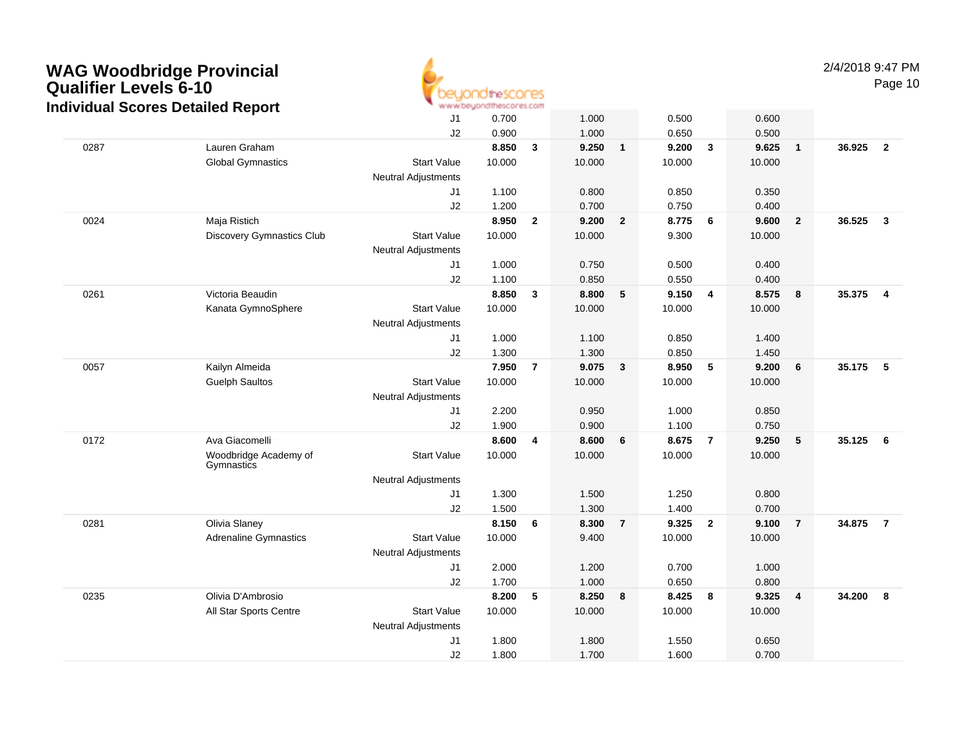

2/4/2018 9:47 PMPage 10

|      |                                     | J1                         | 0.700  |                | 1.000  |                 | 0.500  |                | 0.600  |                         |        |                         |
|------|-------------------------------------|----------------------------|--------|----------------|--------|-----------------|--------|----------------|--------|-------------------------|--------|-------------------------|
|      |                                     | J2                         | 0.900  |                | 1.000  |                 | 0.650  |                | 0.500  |                         |        |                         |
| 0287 | Lauren Graham                       |                            | 8.850  | $\mathbf{3}$   | 9.250  | $\mathbf{1}$    | 9.200  | $\mathbf{3}$   | 9.625  | $\overline{1}$          | 36.925 | $\overline{2}$          |
|      | <b>Global Gymnastics</b>            | <b>Start Value</b>         | 10.000 |                | 10.000 |                 | 10.000 |                | 10.000 |                         |        |                         |
|      |                                     | <b>Neutral Adjustments</b> |        |                |        |                 |        |                |        |                         |        |                         |
|      |                                     | J1                         | 1.100  |                | 0.800  |                 | 0.850  |                | 0.350  |                         |        |                         |
|      |                                     | J2                         | 1.200  |                | 0.700  |                 | 0.750  |                | 0.400  |                         |        |                         |
| 0024 | Maja Ristich                        |                            | 8.950  | $\mathbf{2}$   | 9.200  | $\overline{2}$  | 8.775  | 6              | 9.600  | $\overline{\mathbf{2}}$ | 36.525 | $\mathbf{3}$            |
|      | <b>Discovery Gymnastics Club</b>    | <b>Start Value</b>         | 10.000 |                | 10.000 |                 | 9.300  |                | 10.000 |                         |        |                         |
|      |                                     | <b>Neutral Adjustments</b> |        |                |        |                 |        |                |        |                         |        |                         |
|      |                                     | J1                         | 1.000  |                | 0.750  |                 | 0.500  |                | 0.400  |                         |        |                         |
|      |                                     | J2                         | 1.100  |                | 0.850  |                 | 0.550  |                | 0.400  |                         |        |                         |
| 0261 | Victoria Beaudin                    |                            | 8.850  | $\mathbf{3}$   | 8.800  | $5\phantom{.0}$ | 9.150  | $\overline{4}$ | 8.575  | $\boldsymbol{8}$        | 35.375 | $\overline{\mathbf{4}}$ |
|      | Kanata GymnoSphere                  | <b>Start Value</b>         | 10.000 |                | 10.000 |                 | 10.000 |                | 10.000 |                         |        |                         |
|      |                                     | <b>Neutral Adjustments</b> |        |                |        |                 |        |                |        |                         |        |                         |
|      |                                     | J <sub>1</sub>             | 1.000  |                | 1.100  |                 | 0.850  |                | 1.400  |                         |        |                         |
|      |                                     | J2                         | 1.300  |                | 1.300  |                 | 0.850  |                | 1.450  |                         |        |                         |
| 0057 | Kailyn Almeida                      |                            | 7.950  | $\overline{7}$ | 9.075  | 3               | 8.950  | 5              | 9.200  | $6\phantom{1}6$         | 35.175 | 5                       |
|      | <b>Guelph Saultos</b>               | <b>Start Value</b>         | 10.000 |                | 10.000 |                 | 10.000 |                | 10.000 |                         |        |                         |
|      |                                     | <b>Neutral Adjustments</b> |        |                |        |                 |        |                |        |                         |        |                         |
|      |                                     | J <sub>1</sub>             | 2.200  |                | 0.950  |                 | 1.000  |                | 0.850  |                         |        |                         |
|      |                                     | J2                         | 1.900  |                | 0.900  |                 | 1.100  |                | 0.750  |                         |        |                         |
| 0172 | Ava Giacomelli                      |                            | 8.600  | 4              | 8.600  | 6               | 8.675  | $\overline{7}$ | 9.250  | 5                       | 35.125 | 6                       |
|      | Woodbridge Academy of<br>Gymnastics | <b>Start Value</b>         | 10.000 |                | 10.000 |                 | 10.000 |                | 10.000 |                         |        |                         |
|      |                                     | <b>Neutral Adjustments</b> |        |                |        |                 |        |                |        |                         |        |                         |
|      |                                     | J <sub>1</sub>             | 1.300  |                | 1.500  |                 | 1.250  |                | 0.800  |                         |        |                         |
|      |                                     | J2                         | 1.500  |                | 1.300  |                 | 1.400  |                | 0.700  |                         |        |                         |
| 0281 | Olivia Slaney                       |                            | 8.150  | 6              | 8.300  | $\overline{7}$  | 9.325  | $\overline{2}$ | 9.100  | $\overline{7}$          | 34.875 | $\overline{7}$          |
|      | <b>Adrenaline Gymnastics</b>        | <b>Start Value</b>         | 10.000 |                | 9.400  |                 | 10.000 |                | 10.000 |                         |        |                         |
|      |                                     | <b>Neutral Adjustments</b> |        |                |        |                 |        |                |        |                         |        |                         |
|      |                                     | J <sub>1</sub>             | 2.000  |                | 1.200  |                 | 0.700  |                | 1.000  |                         |        |                         |
|      |                                     | J2                         | 1.700  |                | 1.000  |                 | 0.650  |                | 0.800  |                         |        |                         |
| 0235 | Olivia D'Ambrosio                   |                            | 8.200  | 5              | 8.250  | 8               | 8.425  | 8              | 9.325  | $\overline{4}$          | 34.200 | 8                       |
|      | All Star Sports Centre              | <b>Start Value</b>         | 10.000 |                | 10.000 |                 | 10.000 |                | 10.000 |                         |        |                         |
|      |                                     | <b>Neutral Adjustments</b> |        |                |        |                 |        |                |        |                         |        |                         |
|      |                                     | J1                         | 1.800  |                | 1.800  |                 | 1.550  |                | 0.650  |                         |        |                         |
|      |                                     | J2                         | 1.800  |                | 1.700  |                 | 1.600  |                | 0.700  |                         |        |                         |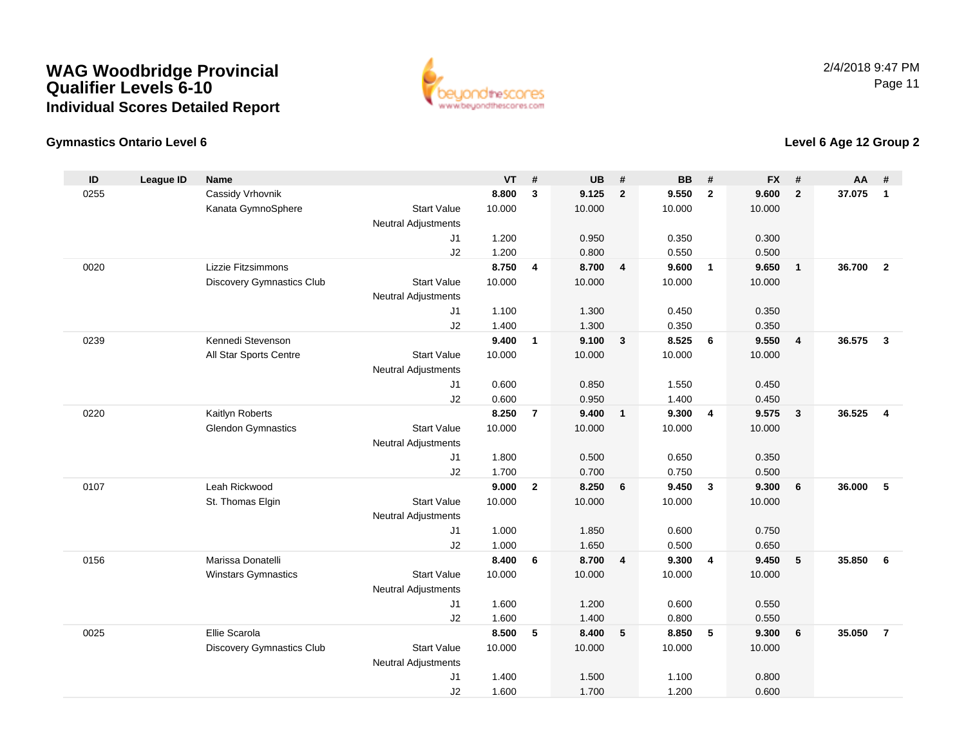

### **Gymnastics Ontario Level 6**

| ID   | <b>League ID</b> | Name                             |                            | VT     | $\#$                    | <b>UB</b> | #                       | <b>BB</b> | #                       | <b>FX</b> | $\pmb{\#}$     | <b>AA</b> | #                       |
|------|------------------|----------------------------------|----------------------------|--------|-------------------------|-----------|-------------------------|-----------|-------------------------|-----------|----------------|-----------|-------------------------|
| 0255 |                  | Cassidy Vrhovnik                 |                            | 8.800  | $\overline{\mathbf{3}}$ | 9.125     | $\overline{2}$          | 9.550     | $\overline{2}$          | 9.600     | $\overline{2}$ | 37.075    | $\overline{1}$          |
|      |                  | Kanata GymnoSphere               | <b>Start Value</b>         | 10.000 |                         | 10.000    |                         | 10.000    |                         | 10.000    |                |           |                         |
|      |                  |                                  | <b>Neutral Adjustments</b> |        |                         |           |                         |           |                         |           |                |           |                         |
|      |                  |                                  | J1                         | 1.200  |                         | 0.950     |                         | 0.350     |                         | 0.300     |                |           |                         |
|      |                  |                                  | J2                         | 1.200  |                         | 0.800     |                         | 0.550     |                         | 0.500     |                |           |                         |
| 0020 |                  | Lizzie Fitzsimmons               |                            | 8.750  | $\overline{4}$          | 8.700     | $\overline{4}$          | 9.600     | $\mathbf{1}$            | 9.650     | 1              | 36.700    | $\overline{2}$          |
|      |                  | <b>Discovery Gymnastics Club</b> | <b>Start Value</b>         | 10.000 |                         | 10.000    |                         | 10.000    |                         | 10.000    |                |           |                         |
|      |                  |                                  | Neutral Adjustments        |        |                         |           |                         |           |                         |           |                |           |                         |
|      |                  |                                  | J1                         | 1.100  |                         | 1.300     |                         | 0.450     |                         | 0.350     |                |           |                         |
|      |                  |                                  | J2                         | 1.400  |                         | 1.300     |                         | 0.350     |                         | 0.350     |                |           |                         |
| 0239 |                  | Kennedi Stevenson                |                            | 9.400  | $\mathbf{1}$            | 9.100     | $\overline{\mathbf{3}}$ | 8.525     | 6                       | 9.550     | $\overline{4}$ | 36.575    | $\overline{\mathbf{3}}$ |
|      |                  | All Star Sports Centre           | <b>Start Value</b>         | 10.000 |                         | 10.000    |                         | 10.000    |                         | 10.000    |                |           |                         |
|      |                  |                                  | <b>Neutral Adjustments</b> |        |                         |           |                         |           |                         |           |                |           |                         |
|      |                  |                                  | J1                         | 0.600  |                         | 0.850     |                         | 1.550     |                         | 0.450     |                |           |                         |
|      |                  |                                  | J2                         | 0.600  |                         | 0.950     |                         | 1.400     |                         | 0.450     |                |           |                         |
| 0220 |                  | Kaitlyn Roberts                  |                            | 8.250  | $\overline{7}$          | 9.400     | $\overline{\mathbf{1}}$ | 9.300     | $\overline{4}$          | 9.575     | $\mathbf{3}$   | 36.525    | $\overline{\mathbf{4}}$ |
|      |                  | <b>Glendon Gymnastics</b>        | <b>Start Value</b>         | 10.000 |                         | 10.000    |                         | 10.000    |                         | 10.000    |                |           |                         |
|      |                  |                                  | Neutral Adjustments        |        |                         |           |                         |           |                         |           |                |           |                         |
|      |                  |                                  | J <sub>1</sub>             | 1.800  |                         | 0.500     |                         | 0.650     |                         | 0.350     |                |           |                         |
|      |                  |                                  | J2                         | 1.700  |                         | 0.700     |                         | 0.750     |                         | 0.500     |                |           |                         |
| 0107 |                  | Leah Rickwood                    |                            | 9.000  | $\overline{2}$          | 8.250     | 6                       | 9.450     | $\overline{\mathbf{3}}$ | 9.300     | 6              | 36.000    | 5                       |
|      |                  | St. Thomas Elgin                 | <b>Start Value</b>         | 10.000 |                         | 10.000    |                         | 10.000    |                         | 10.000    |                |           |                         |
|      |                  |                                  | <b>Neutral Adjustments</b> |        |                         |           |                         |           |                         |           |                |           |                         |
|      |                  |                                  | J1                         | 1.000  |                         | 1.850     |                         | 0.600     |                         | 0.750     |                |           |                         |
|      |                  |                                  | J2                         | 1.000  |                         | 1.650     |                         | 0.500     |                         | 0.650     |                |           |                         |
| 0156 |                  | Marissa Donatelli                |                            | 8.400  | 6                       | 8.700     | $\overline{\mathbf{4}}$ | 9.300     | $\overline{4}$          | 9.450     | ${\bf 5}$      | 35.850    | $6\phantom{1}6$         |
|      |                  | Winstars Gymnastics              | <b>Start Value</b>         | 10.000 |                         | 10.000    |                         | 10.000    |                         | 10.000    |                |           |                         |
|      |                  |                                  | Neutral Adjustments        |        |                         |           |                         |           |                         |           |                |           |                         |
|      |                  |                                  | J1                         | 1.600  |                         | 1.200     |                         | 0.600     |                         | 0.550     |                |           |                         |
|      |                  |                                  | J2                         | 1.600  |                         | 1.400     |                         | 0.800     |                         | 0.550     |                |           |                         |
| 0025 |                  | Ellie Scarola                    |                            | 8.500  | 5                       | 8.400     | 5                       | 8.850     | 5                       | 9.300     | 6              | 35.050    | $\overline{7}$          |
|      |                  | <b>Discovery Gymnastics Club</b> | <b>Start Value</b>         | 10.000 |                         | 10.000    |                         | 10.000    |                         | 10.000    |                |           |                         |
|      |                  |                                  | <b>Neutral Adjustments</b> |        |                         |           |                         |           |                         |           |                |           |                         |
|      |                  |                                  | J1                         | 1.400  |                         | 1.500     |                         | 1.100     |                         | 0.800     |                |           |                         |
|      |                  |                                  | J2                         | 1.600  |                         | 1.700     |                         | 1.200     |                         | 0.600     |                |           |                         |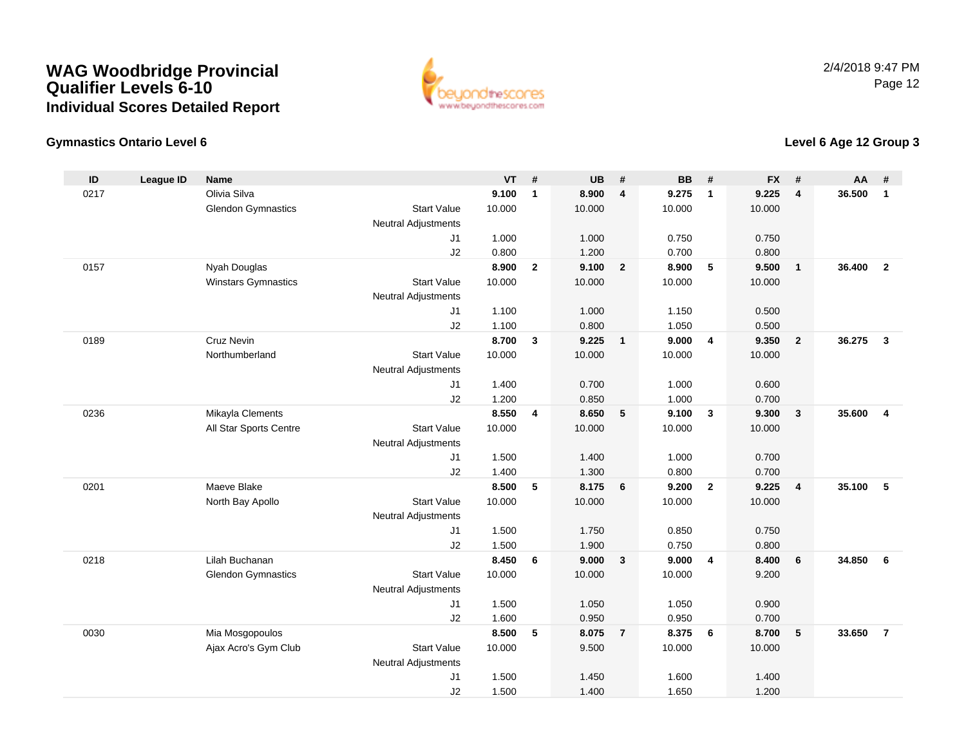

### **Gymnastics Ontario Level 6**

| ID   | <b>League ID</b> | <b>Name</b>                |                                  | <b>VT</b> | #                       | <b>UB</b> | #                       | <b>BB</b> | #              | <b>FX</b> | #               | <b>AA</b> | #                       |
|------|------------------|----------------------------|----------------------------------|-----------|-------------------------|-----------|-------------------------|-----------|----------------|-----------|-----------------|-----------|-------------------------|
| 0217 |                  | Olivia Silva               |                                  | 9.100     | $\mathbf{1}$            | 8.900     | $\overline{4}$          | 9.275     | $\mathbf{1}$   | 9.225     | $\overline{4}$  | 36.500    | $\overline{1}$          |
|      |                  | <b>Glendon Gymnastics</b>  | <b>Start Value</b>               | 10.000    |                         | 10.000    |                         | 10.000    |                | 10.000    |                 |           |                         |
|      |                  |                            | <b>Neutral Adjustments</b>       |           |                         |           |                         |           |                |           |                 |           |                         |
|      |                  |                            | J <sub>1</sub>                   | 1.000     |                         | 1.000     |                         | 0.750     |                | 0.750     |                 |           |                         |
|      |                  |                            | J2                               | 0.800     |                         | 1.200     |                         | 0.700     |                | 0.800     |                 |           |                         |
| 0157 |                  | Nyah Douglas               |                                  | 8.900     | $\overline{2}$          | 9.100     | $\overline{\mathbf{2}}$ | 8.900     | 5              | 9.500     | $\mathbf{1}$    | 36.400    | $\overline{2}$          |
|      |                  | <b>Winstars Gymnastics</b> | <b>Start Value</b>               | 10.000    |                         | 10.000    |                         | 10.000    |                | 10.000    |                 |           |                         |
|      |                  |                            | <b>Neutral Adjustments</b>       |           |                         |           |                         |           |                |           |                 |           |                         |
|      |                  |                            | J1                               | 1.100     |                         | 1.000     |                         | 1.150     |                | 0.500     |                 |           |                         |
|      |                  |                            | J2                               | 1.100     |                         | 0.800     |                         | 1.050     |                | 0.500     |                 |           |                         |
| 0189 |                  | <b>Cruz Nevin</b>          |                                  | 8.700     | 3                       | 9.225     | $\overline{1}$          | 9.000     | $\overline{4}$ | 9.350     | $\overline{2}$  | 36.275    | $\mathbf{3}$            |
|      |                  | Northumberland             | <b>Start Value</b>               | 10.000    |                         | 10.000    |                         | 10.000    |                | 10.000    |                 |           |                         |
|      |                  |                            | <b>Neutral Adjustments</b><br>J1 | 1.400     |                         | 0.700     |                         | 1.000     |                | 0.600     |                 |           |                         |
|      |                  |                            | J2                               | 1.200     |                         | 0.850     |                         | 1.000     |                | 0.700     |                 |           |                         |
| 0236 |                  | Mikayla Clements           |                                  | 8.550     | $\overline{\mathbf{4}}$ | 8.650     | 5                       | 9.100     | $\mathbf{3}$   | 9.300     | $\mathbf{3}$    | 35.600    | $\overline{\mathbf{4}}$ |
|      |                  | All Star Sports Centre     | <b>Start Value</b>               | 10.000    |                         | 10.000    |                         | 10.000    |                | 10.000    |                 |           |                         |
|      |                  |                            | <b>Neutral Adjustments</b>       |           |                         |           |                         |           |                |           |                 |           |                         |
|      |                  |                            | J <sub>1</sub>                   | 1.500     |                         | 1.400     |                         | 1.000     |                | 0.700     |                 |           |                         |
|      |                  |                            | J2                               | 1.400     |                         | 1.300     |                         | 0.800     |                | 0.700     |                 |           |                         |
| 0201 |                  | Maeve Blake                |                                  | 8.500     | 5                       | 8.175     | $6\phantom{1}6$         | 9.200     | $\overline{2}$ | 9.225     | 4               | 35.100    | 5                       |
|      |                  | North Bay Apollo           | <b>Start Value</b>               | 10.000    |                         | 10.000    |                         | 10.000    |                | 10.000    |                 |           |                         |
|      |                  |                            | <b>Neutral Adjustments</b>       |           |                         |           |                         |           |                |           |                 |           |                         |
|      |                  |                            | J1                               | 1.500     |                         | 1.750     |                         | 0.850     |                | 0.750     |                 |           |                         |
|      |                  |                            | J2                               | 1.500     |                         | 1.900     |                         | 0.750     |                | 0.800     |                 |           |                         |
| 0218 |                  | Lilah Buchanan             |                                  | 8.450     | 6                       | 9.000     | $\overline{\mathbf{3}}$ | 9.000     | $\overline{4}$ | 8.400     | 6               | 34.850    | 6                       |
|      |                  | <b>Glendon Gymnastics</b>  | <b>Start Value</b>               | 10.000    |                         | 10.000    |                         | 10.000    |                | 9.200     |                 |           |                         |
|      |                  |                            | <b>Neutral Adjustments</b>       |           |                         |           |                         |           |                |           |                 |           |                         |
|      |                  |                            | J1                               | 1.500     |                         | 1.050     |                         | 1.050     |                | 0.900     |                 |           |                         |
|      |                  |                            | J2                               | 1.600     |                         | 0.950     |                         | 0.950     |                | 0.700     |                 |           |                         |
| 0030 |                  | Mia Mosgopoulos            |                                  | 8.500     | 5                       | 8.075     | $\overline{7}$          | 8.375     | 6              | 8.700     | $5\phantom{.0}$ | 33.650    | $\overline{7}$          |
|      |                  | Ajax Acro's Gym Club       | <b>Start Value</b>               | 10.000    |                         | 9.500     |                         | 10.000    |                | 10.000    |                 |           |                         |
|      |                  |                            | Neutral Adjustments              |           |                         |           |                         |           |                |           |                 |           |                         |
|      |                  |                            | J <sub>1</sub>                   | 1.500     |                         | 1.450     |                         | 1.600     |                | 1.400     |                 |           |                         |
|      |                  |                            | J2                               | 1.500     |                         | 1.400     |                         | 1.650     |                | 1.200     |                 |           |                         |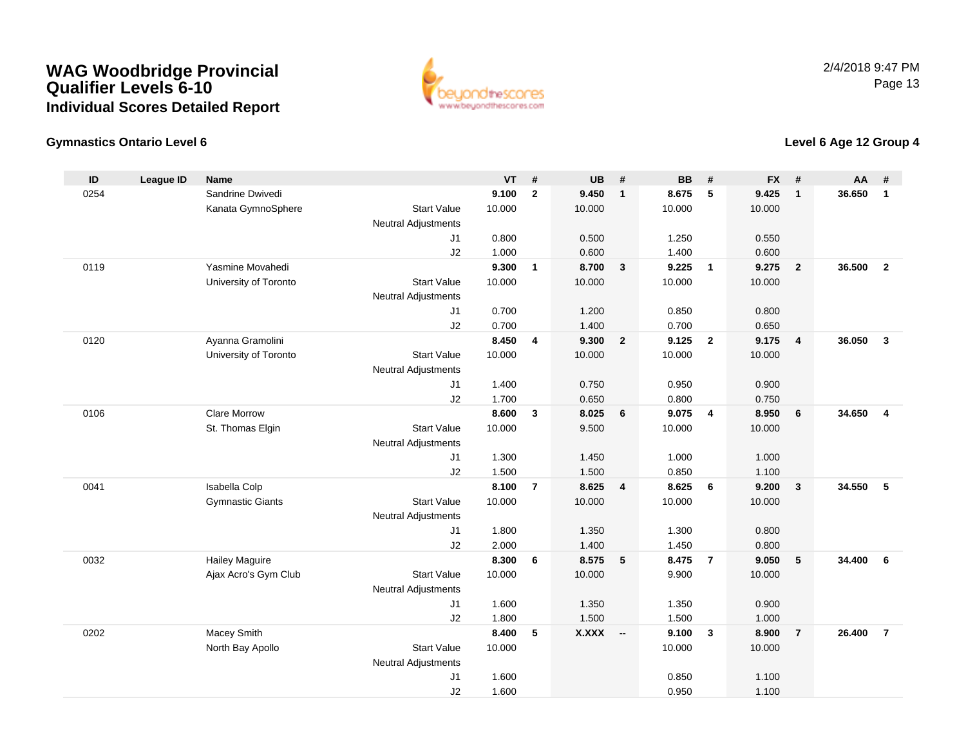

### **Gymnastics Ontario Level 6**

| ID   | <b>League ID</b> | <b>Name</b>             |                            | VT     | #                       | <b>UB</b>    | #                       | <b>BB</b> | #              | <b>FX</b> | #              | <b>AA</b> | #              |
|------|------------------|-------------------------|----------------------------|--------|-------------------------|--------------|-------------------------|-----------|----------------|-----------|----------------|-----------|----------------|
| 0254 |                  | Sandrine Dwivedi        |                            | 9.100  | $\mathbf{2}$            | 9.450        | $\overline{\mathbf{1}}$ | 8.675     | 5              | 9.425     | $\mathbf{1}$   | 36.650    | $\mathbf{1}$   |
|      |                  | Kanata GymnoSphere      | <b>Start Value</b>         | 10.000 |                         | 10.000       |                         | 10.000    |                | 10.000    |                |           |                |
|      |                  |                         | <b>Neutral Adjustments</b> |        |                         |              |                         |           |                |           |                |           |                |
|      |                  |                         | J <sub>1</sub>             | 0.800  |                         | 0.500        |                         | 1.250     |                | 0.550     |                |           |                |
|      |                  |                         | J2                         | 1.000  |                         | 0.600        |                         | 1.400     |                | 0.600     |                |           |                |
| 0119 |                  | Yasmine Movahedi        |                            | 9.300  | $\mathbf{1}$            | 8.700        | $\overline{\mathbf{3}}$ | 9.225     | $\overline{1}$ | 9.275     | $\overline{2}$ | 36,500    | $\overline{2}$ |
|      |                  | University of Toronto   | <b>Start Value</b>         | 10.000 |                         | 10.000       |                         | 10.000    |                | 10.000    |                |           |                |
|      |                  |                         | <b>Neutral Adjustments</b> |        |                         |              |                         |           |                |           |                |           |                |
|      |                  |                         | J1                         | 0.700  |                         | 1.200        |                         | 0.850     |                | 0.800     |                |           |                |
|      |                  |                         | J2                         | 0.700  |                         | 1.400        |                         | 0.700     |                | 0.650     |                |           |                |
| 0120 |                  | Ayanna Gramolini        |                            | 8.450  | $\overline{\mathbf{4}}$ | 9.300        | $\overline{2}$          | 9.125     | $\overline{2}$ | 9.175     | 4              | 36.050    | 3              |
|      |                  | University of Toronto   | <b>Start Value</b>         | 10.000 |                         | 10.000       |                         | 10.000    |                | 10.000    |                |           |                |
|      |                  |                         | <b>Neutral Adjustments</b> |        |                         |              |                         |           |                |           |                |           |                |
|      |                  |                         | J1                         | 1.400  |                         | 0.750        |                         | 0.950     |                | 0.900     |                |           |                |
|      |                  |                         | J2                         | 1.700  |                         | 0.650        |                         | 0.800     |                | 0.750     |                |           |                |
| 0106 |                  | <b>Clare Morrow</b>     |                            | 8.600  | $\mathbf{3}$            | 8.025        | 6                       | 9.075     | $\overline{4}$ | 8.950     | 6              | 34.650    | $\overline{4}$ |
|      |                  | St. Thomas Elgin        | <b>Start Value</b>         | 10.000 |                         | 9.500        |                         | 10.000    |                | 10.000    |                |           |                |
|      |                  |                         | <b>Neutral Adjustments</b> |        |                         |              |                         |           |                |           |                |           |                |
|      |                  |                         | J <sub>1</sub>             | 1.300  |                         | 1.450        |                         | 1.000     |                | 1.000     |                |           |                |
|      |                  |                         | J2                         | 1.500  |                         | 1.500        |                         | 0.850     |                | 1.100     |                |           |                |
| 0041 |                  | <b>Isabella Colp</b>    |                            | 8.100  | $\overline{7}$          | 8.625        | $\overline{4}$          | 8.625     | 6              | 9.200     | $\mathbf{3}$   | 34.550    | 5              |
|      |                  | <b>Gymnastic Giants</b> | <b>Start Value</b>         | 10.000 |                         | 10.000       |                         | 10.000    |                | 10.000    |                |           |                |
|      |                  |                         | <b>Neutral Adjustments</b> |        |                         |              |                         |           |                |           |                |           |                |
|      |                  |                         | J1                         | 1.800  |                         | 1.350        |                         | 1.300     |                | 0.800     |                |           |                |
|      |                  |                         | J2                         | 2.000  |                         | 1.400        |                         | 1.450     |                | 0.800     |                |           |                |
| 0032 |                  | <b>Hailey Maguire</b>   |                            | 8.300  | 6                       | 8.575        | 5                       | 8.475     | $\overline{7}$ | 9.050     | ${\bf 5}$      | 34.400    | 6              |
|      |                  | Ajax Acro's Gym Club    | <b>Start Value</b>         | 10.000 |                         | 10.000       |                         | 9.900     |                | 10.000    |                |           |                |
|      |                  |                         | <b>Neutral Adjustments</b> |        |                         |              |                         |           |                |           |                |           |                |
|      |                  |                         | J1                         | 1.600  |                         | 1.350        |                         | 1.350     |                | 0.900     |                |           |                |
|      |                  |                         | J2                         | 1.800  |                         | 1.500        |                         | 1.500     |                | 1.000     |                |           |                |
| 0202 |                  | Macey Smith             |                            | 8.400  | 5                       | <b>X.XXX</b> | - 11                    | 9.100     | $\mathbf{3}$   | 8.900     | $\overline{7}$ | 26.400    | $\overline{7}$ |
|      |                  | North Bay Apollo        | <b>Start Value</b>         | 10.000 |                         |              |                         | 10.000    |                | 10.000    |                |           |                |
|      |                  |                         | <b>Neutral Adjustments</b> |        |                         |              |                         |           |                |           |                |           |                |
|      |                  |                         | J1                         | 1.600  |                         |              |                         | 0.850     |                | 1.100     |                |           |                |
|      |                  |                         | J2                         | 1.600  |                         |              |                         | 0.950     |                | 1.100     |                |           |                |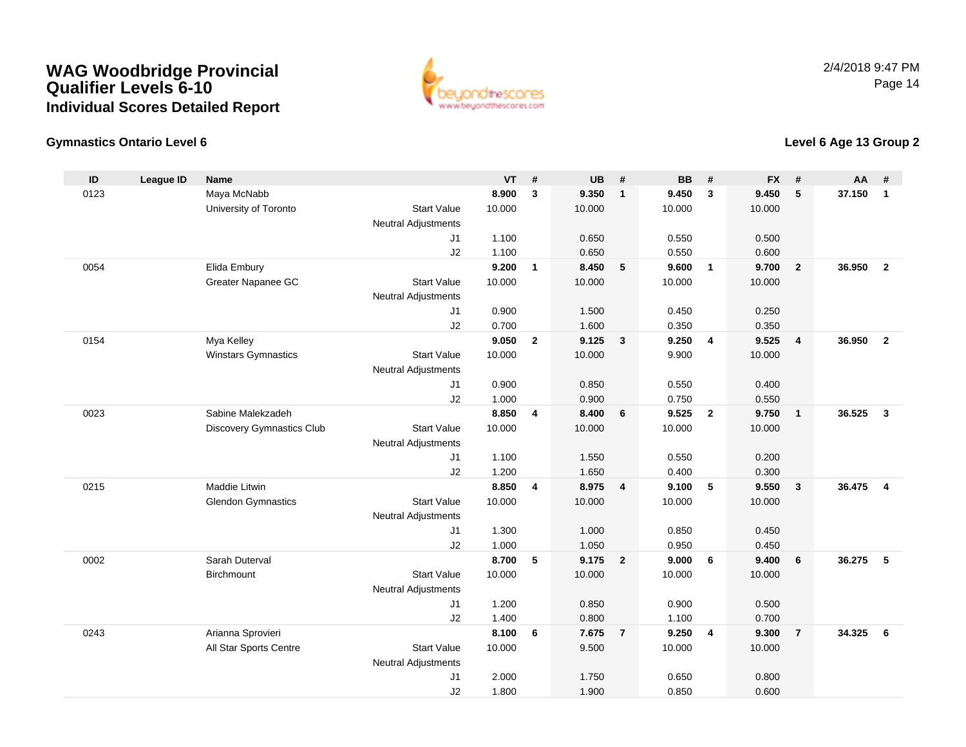

### **Gymnastics Ontario Level 6**

| ID   | <b>League ID</b> | <b>Name</b>                |                            | <b>VT</b>      | #                       | <b>UB</b>      | #                       | <b>BB</b>      | #              | <b>FX</b>       | #              | <b>AA</b> | #                       |
|------|------------------|----------------------------|----------------------------|----------------|-------------------------|----------------|-------------------------|----------------|----------------|-----------------|----------------|-----------|-------------------------|
| 0123 |                  | Maya McNabb                |                            | 8.900          | 3                       | 9.350          | $\overline{1}$          | 9.450          | 3              | 9.450           | 5              | 37.150    | $\mathbf{1}$            |
|      |                  | University of Toronto      | <b>Start Value</b>         | 10.000         |                         | 10.000         |                         | 10.000         |                | 10.000          |                |           |                         |
|      |                  |                            | <b>Neutral Adjustments</b> |                |                         |                |                         |                |                |                 |                |           |                         |
|      |                  |                            | J <sub>1</sub>             | 1.100          |                         | 0.650          |                         | 0.550          |                | 0.500           |                |           |                         |
|      |                  |                            | J2                         | 1.100          |                         | 0.650          |                         | 0.550          |                | 0.600           |                |           |                         |
| 0054 |                  | Elida Embury               |                            | 9.200          | $\mathbf{1}$            | 8.450          | 5                       | 9.600          | $\overline{1}$ | 9.700           | $\overline{2}$ | 36.950    | $\overline{2}$          |
|      |                  | Greater Napanee GC         | <b>Start Value</b>         | 10.000         |                         | 10.000         |                         | 10.000         |                | 10.000          |                |           |                         |
|      |                  |                            | <b>Neutral Adjustments</b> |                |                         |                |                         |                |                |                 |                |           |                         |
|      |                  |                            | J1                         | 0.900          |                         | 1.500          |                         | 0.450          |                | 0.250           |                |           |                         |
|      |                  |                            | J2                         | 0.700          |                         | 1.600          |                         | 0.350          |                | 0.350           |                |           |                         |
| 0154 |                  | Mya Kelley                 |                            | 9.050          | $\overline{2}$          | 9.125          | $\mathbf{3}$            | 9.250          | $\overline{4}$ | 9.525           | 4              | 36.950    | $\overline{2}$          |
|      |                  | <b>Winstars Gymnastics</b> | <b>Start Value</b>         | 10.000         |                         | 10.000         |                         | 9.900          |                | 10.000          |                |           |                         |
|      |                  |                            | <b>Neutral Adjustments</b> |                |                         |                |                         |                |                |                 |                |           |                         |
|      |                  |                            | J1                         | 0.900          |                         | 0.850          |                         | 0.550          |                | 0.400           |                |           |                         |
|      |                  |                            | J2                         | 1.000          |                         | 0.900          |                         | 0.750          |                | 0.550           |                |           |                         |
| 0023 |                  | Sabine Malekzadeh          |                            | 8.850          | $\overline{\mathbf{4}}$ | 8.400          | 6                       | 9.525          | $\overline{2}$ | 9.750           | $\mathbf{1}$   | 36.525    | $\overline{\mathbf{3}}$ |
|      |                  | Discovery Gymnastics Club  | <b>Start Value</b>         | 10.000         |                         | 10.000         |                         | 10.000         |                | 10.000          |                |           |                         |
|      |                  |                            | <b>Neutral Adjustments</b> |                |                         |                |                         |                |                |                 |                |           |                         |
|      |                  |                            | J <sub>1</sub>             | 1.100          |                         | 1.550          |                         | 0.550          |                | 0.200           |                |           |                         |
|      |                  |                            | J2                         | 1.200          |                         | 1.650          |                         | 0.400          |                | 0.300           |                |           |                         |
| 0215 |                  | Maddie Litwin              |                            | 8.850          | 4                       | 8.975          | $\overline{4}$          | 9.100          | -5             | 9.550           | $\mathbf{3}$   | 36.475    | $\overline{4}$          |
|      |                  | <b>Glendon Gymnastics</b>  | <b>Start Value</b>         | 10.000         |                         | 10.000         |                         | 10.000         |                | 10.000          |                |           |                         |
|      |                  |                            | <b>Neutral Adjustments</b> |                |                         |                |                         |                |                |                 |                |           |                         |
|      |                  |                            | J1                         | 1.300          |                         | 1.000          |                         | 0.850          |                | 0.450           |                |           |                         |
|      |                  |                            | J2                         | 1.000          |                         | 1.050          |                         | 0.950          |                | 0.450           |                |           |                         |
| 0002 |                  | Sarah Duterval             |                            | 8.700          | 5                       | 9.175          | $\overline{\mathbf{2}}$ | 9.000          | 6              | 9.400           | 6              | 36.275    | 5                       |
|      |                  | Birchmount                 | <b>Start Value</b>         | 10.000         |                         | 10.000         |                         | 10.000         |                | 10.000          |                |           |                         |
|      |                  |                            | <b>Neutral Adjustments</b> |                |                         |                |                         |                |                |                 |                |           |                         |
|      |                  |                            | J1                         | 1.200          |                         | 0.850          |                         | 0.900          |                | 0.500           |                |           |                         |
| 0243 |                  |                            | J2                         | 1.400<br>8.100 | 6                       | 0.800          | $\overline{7}$          | 1.100<br>9.250 | $\overline{4}$ | 0.700           | $\overline{7}$ | 34.325    | 6                       |
|      |                  | Arianna Sprovieri          | <b>Start Value</b>         | 10.000         |                         | 7.675<br>9.500 |                         | 10.000         |                | 9.300<br>10.000 |                |           |                         |
|      |                  | All Star Sports Centre     | Neutral Adjustments        |                |                         |                |                         |                |                |                 |                |           |                         |
|      |                  |                            | J <sub>1</sub>             | 2.000          |                         | 1.750          |                         | 0.650          |                | 0.800           |                |           |                         |
|      |                  |                            | J2                         | 1.800          |                         | 1.900          |                         | 0.850          |                | 0.600           |                |           |                         |
|      |                  |                            |                            |                |                         |                |                         |                |                |                 |                |           |                         |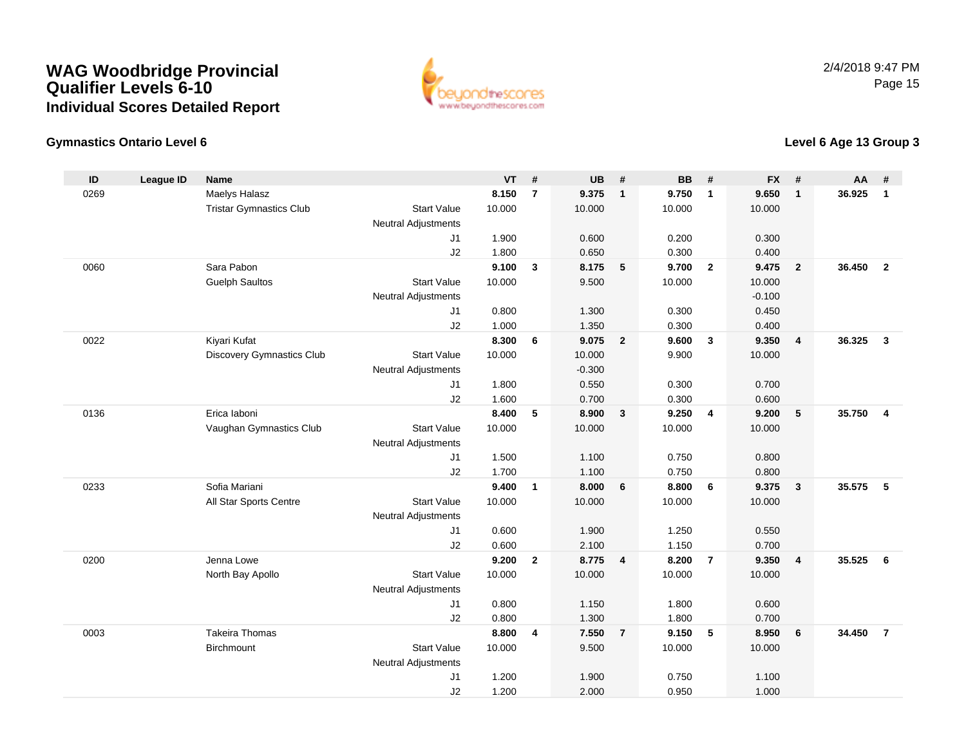

### **Gymnastics Ontario Level 6**

| ID   | <b>League ID</b> | <b>Name</b>                    |                            | <b>VT</b> | #              | <b>UB</b> | #                       | <b>BB</b> | #              | <b>FX</b> | #              | <b>AA</b> | #              |
|------|------------------|--------------------------------|----------------------------|-----------|----------------|-----------|-------------------------|-----------|----------------|-----------|----------------|-----------|----------------|
| 0269 |                  | Maelys Halasz                  |                            | 8.150     | $\overline{7}$ | 9.375     | $\overline{\mathbf{1}}$ | 9.750     | $\mathbf{1}$   | 9.650     | $\mathbf{1}$   | 36.925    | $\mathbf{1}$   |
|      |                  | <b>Tristar Gymnastics Club</b> | <b>Start Value</b>         | 10.000    |                | 10.000    |                         | 10.000    |                | 10.000    |                |           |                |
|      |                  |                                | <b>Neutral Adjustments</b> |           |                |           |                         |           |                |           |                |           |                |
|      |                  |                                | J <sub>1</sub>             | 1.900     |                | 0.600     |                         | 0.200     |                | 0.300     |                |           |                |
|      |                  |                                | J2                         | 1.800     |                | 0.650     |                         | 0.300     |                | 0.400     |                |           |                |
| 0060 |                  | Sara Pabon                     |                            | 9.100     | 3              | 8.175     | $-5$                    | 9.700     | $\overline{2}$ | 9.475     | $\overline{2}$ | 36.450    | $\overline{2}$ |
|      |                  | <b>Guelph Saultos</b>          | <b>Start Value</b>         | 10.000    |                | 9.500     |                         | 10.000    |                | 10.000    |                |           |                |
|      |                  |                                | <b>Neutral Adjustments</b> |           |                |           |                         |           |                | $-0.100$  |                |           |                |
|      |                  |                                | J1                         | 0.800     |                | 1.300     |                         | 0.300     |                | 0.450     |                |           |                |
|      |                  |                                | J2                         | 1.000     |                | 1.350     |                         | 0.300     |                | 0.400     |                |           |                |
| 0022 |                  | Kiyari Kufat                   |                            | 8.300     | 6              | 9.075     | $\overline{\mathbf{2}}$ | 9.600     | $\mathbf{3}$   | 9.350     | 4              | 36.325    | 3              |
|      |                  | Discovery Gymnastics Club      | <b>Start Value</b>         | 10.000    |                | 10.000    |                         | 9.900     |                | 10.000    |                |           |                |
|      |                  |                                | <b>Neutral Adjustments</b> |           |                | $-0.300$  |                         |           |                |           |                |           |                |
|      |                  |                                | J1                         | 1.800     |                | 0.550     |                         | 0.300     |                | 0.700     |                |           |                |
|      |                  |                                | J2                         | 1.600     |                | 0.700     |                         | 0.300     |                | 0.600     |                |           |                |
| 0136 |                  | Erica laboni                   |                            | 8.400     | 5              | 8.900     | $\mathbf{3}$            | 9.250     | $\overline{4}$ | 9.200     | $\sqrt{5}$     | 35.750    | $\overline{4}$ |
|      |                  | Vaughan Gymnastics Club        | <b>Start Value</b>         | 10.000    |                | 10.000    |                         | 10.000    |                | 10.000    |                |           |                |
|      |                  |                                | <b>Neutral Adjustments</b> |           |                |           |                         |           |                |           |                |           |                |
|      |                  |                                | J <sub>1</sub>             | 1.500     |                | 1.100     |                         | 0.750     |                | 0.800     |                |           |                |
|      |                  |                                | J2                         | 1.700     |                | 1.100     |                         | 0.750     |                | 0.800     |                |           |                |
| 0233 |                  | Sofia Mariani                  |                            | 9.400     | $\mathbf{1}$   | 8.000     | $6\phantom{1}6$         | 8.800     | 6              | 9.375     | $\mathbf{3}$   | 35.575    | 5              |
|      |                  | All Star Sports Centre         | <b>Start Value</b>         | 10.000    |                | 10.000    |                         | 10.000    |                | 10.000    |                |           |                |
|      |                  |                                | <b>Neutral Adjustments</b> |           |                |           |                         |           |                |           |                |           |                |
|      |                  |                                | J1                         | 0.600     |                | 1.900     |                         | 1.250     |                | 0.550     |                |           |                |
|      |                  |                                | J2                         | 0.600     |                | 2.100     |                         | 1.150     |                | 0.700     |                |           |                |
| 0200 |                  | Jenna Lowe                     |                            | 9.200     | $\overline{2}$ | 8.775     | $\overline{\mathbf{4}}$ | 8.200     | $\overline{7}$ | 9.350     | 4              | 35.525    | 6              |
|      |                  | North Bay Apollo               | <b>Start Value</b>         | 10.000    |                | 10.000    |                         | 10.000    |                | 10.000    |                |           |                |
|      |                  |                                | <b>Neutral Adjustments</b> |           |                |           |                         |           |                |           |                |           |                |
|      |                  |                                | J1                         | 0.800     |                | 1.150     |                         | 1.800     |                | 0.600     |                |           |                |
|      |                  |                                | J2                         | 0.800     |                | 1.300     |                         | 1.800     |                | 0.700     |                |           |                |
| 0003 |                  | <b>Takeira Thomas</b>          |                            | 8.800     | 4              | 7.550     | $\overline{7}$          | 9.150     | 5              | 8.950     | 6              | 34.450    | $\overline{7}$ |
|      |                  | Birchmount                     | <b>Start Value</b>         | 10.000    |                | 9.500     |                         | 10.000    |                | 10.000    |                |           |                |
|      |                  |                                | Neutral Adjustments        |           |                |           |                         |           |                |           |                |           |                |
|      |                  |                                | J <sub>1</sub>             | 1.200     |                | 1.900     |                         | 0.750     |                | 1.100     |                |           |                |
|      |                  |                                | J2                         | 1.200     |                | 2.000     |                         | 0.950     |                | 1.000     |                |           |                |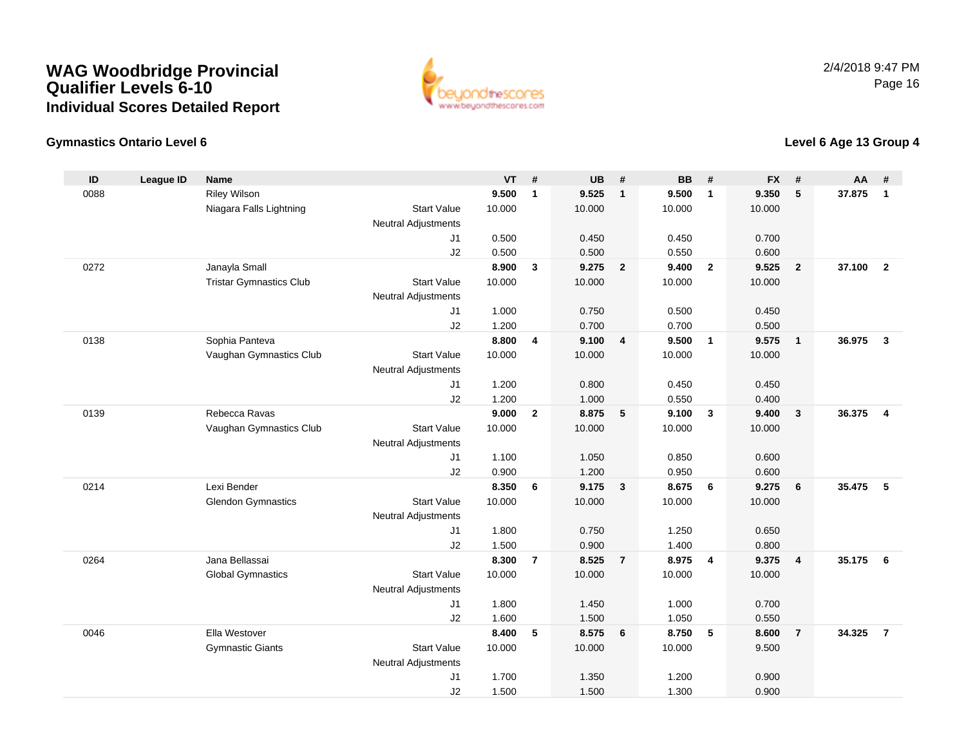

### **Gymnastics Ontario Level 6**

| ID   | <b>League ID</b> | <b>Name</b>                    |                            | <b>VT</b> | #              | <b>UB</b> | #                       | <b>BB</b> | #                       | <b>FX</b> | #              | <b>AA</b> | #                       |
|------|------------------|--------------------------------|----------------------------|-----------|----------------|-----------|-------------------------|-----------|-------------------------|-----------|----------------|-----------|-------------------------|
| 0088 |                  | <b>Riley Wilson</b>            |                            | 9.500     | $\mathbf{1}$   | 9.525     | $\overline{1}$          | 9.500     | $\mathbf{1}$            | 9.350     | 5              | 37.875    | $\overline{1}$          |
|      |                  | Niagara Falls Lightning        | <b>Start Value</b>         | 10.000    |                | 10.000    |                         | 10.000    |                         | 10.000    |                |           |                         |
|      |                  |                                | <b>Neutral Adjustments</b> |           |                |           |                         |           |                         |           |                |           |                         |
|      |                  |                                | J <sub>1</sub>             | 0.500     |                | 0.450     |                         | 0.450     |                         | 0.700     |                |           |                         |
|      |                  |                                | J2                         | 0.500     |                | 0.500     |                         | 0.550     |                         | 0.600     |                |           |                         |
| 0272 |                  | Janayla Small                  |                            | 8.900     | $\mathbf{3}$   | 9.275     | $\overline{\mathbf{2}}$ | 9.400     | $\overline{2}$          | 9.525     | $\overline{2}$ | 37.100    | $\overline{2}$          |
|      |                  | <b>Tristar Gymnastics Club</b> | <b>Start Value</b>         | 10.000    |                | 10.000    |                         | 10.000    |                         | 10.000    |                |           |                         |
|      |                  |                                | <b>Neutral Adjustments</b> |           |                |           |                         |           |                         |           |                |           |                         |
|      |                  |                                | J1                         | 1.000     |                | 0.750     |                         | 0.500     |                         | 0.450     |                |           |                         |
|      |                  |                                | J2                         | 1.200     |                | 0.700     |                         | 0.700     |                         | 0.500     |                |           |                         |
| 0138 |                  | Sophia Panteva                 |                            | 8.800     | $\overline{4}$ | 9.100     | $\overline{4}$          | 9.500     | $\overline{1}$          | 9.575     | $\mathbf{1}$   | 36.975    | $\mathbf{3}$            |
|      |                  | Vaughan Gymnastics Club        | <b>Start Value</b>         | 10.000    |                | 10.000    |                         | 10.000    |                         | 10.000    |                |           |                         |
|      |                  |                                | <b>Neutral Adjustments</b> |           |                |           |                         |           |                         |           |                |           |                         |
|      |                  |                                | J1                         | 1.200     |                | 0.800     |                         | 0.450     |                         | 0.450     |                |           |                         |
|      |                  |                                | J2                         | 1.200     |                | 1.000     |                         | 0.550     |                         | 0.400     |                |           |                         |
| 0139 |                  | Rebecca Ravas                  |                            | 9.000     | $\mathbf{2}$   | 8.875     | $-5$                    | 9.100     | $\overline{\mathbf{3}}$ | 9.400     | $\mathbf{3}$   | 36.375    | $\overline{\mathbf{4}}$ |
|      |                  | Vaughan Gymnastics Club        | <b>Start Value</b>         | 10.000    |                | 10.000    |                         | 10.000    |                         | 10.000    |                |           |                         |
|      |                  |                                | <b>Neutral Adjustments</b> |           |                |           |                         |           |                         |           |                |           |                         |
|      |                  |                                | J1                         | 1.100     |                | 1.050     |                         | 0.850     |                         | 0.600     |                |           |                         |
|      |                  |                                | J2                         | 0.900     |                | 1.200     |                         | 0.950     |                         | 0.600     |                |           |                         |
| 0214 |                  | Lexi Bender                    |                            | 8.350     | 6              | 9.175     | $\overline{\mathbf{3}}$ | 8.675     | 6                       | 9.275     | 6              | 35.475    | 5                       |
|      |                  | <b>Glendon Gymnastics</b>      | <b>Start Value</b>         | 10.000    |                | 10.000    |                         | 10.000    |                         | 10.000    |                |           |                         |
|      |                  |                                | <b>Neutral Adjustments</b> |           |                |           |                         |           |                         |           |                |           |                         |
|      |                  |                                | J1                         | 1.800     |                | 0.750     |                         | 1.250     |                         | 0.650     |                |           |                         |
|      |                  |                                | J2                         | 1.500     |                | 0.900     |                         | 1.400     |                         | 0.800     |                |           |                         |
| 0264 |                  | Jana Bellassai                 |                            | 8.300     | $\overline{7}$ | 8.525     | $\overline{7}$          | 8.975     | $\overline{4}$          | 9.375     | 4              | 35.175    | 6                       |
|      |                  | <b>Global Gymnastics</b>       | <b>Start Value</b>         | 10.000    |                | 10.000    |                         | 10.000    |                         | 10.000    |                |           |                         |
|      |                  |                                | <b>Neutral Adjustments</b> |           |                |           |                         |           |                         |           |                |           |                         |
|      |                  |                                | J1                         | 1.800     |                | 1.450     |                         | 1.000     |                         | 0.700     |                |           |                         |
|      |                  |                                | J2                         | 1.600     |                | 1.500     |                         | 1.050     |                         | 0.550     |                |           |                         |
| 0046 |                  | Ella Westover                  |                            | 8.400     | 5              | 8.575     | $6\phantom{1}6$         | 8.750     | 5                       | 8.600     | $\overline{7}$ | 34.325    | $\overline{7}$          |
|      |                  | <b>Gymnastic Giants</b>        | <b>Start Value</b>         | 10.000    |                | 10.000    |                         | 10.000    |                         | 9.500     |                |           |                         |
|      |                  |                                | Neutral Adjustments        |           |                |           |                         |           |                         |           |                |           |                         |
|      |                  |                                | J1                         | 1.700     |                | 1.350     |                         | 1.200     |                         | 0.900     |                |           |                         |
|      |                  |                                | J2                         | 1.500     |                | 1.500     |                         | 1.300     |                         | 0.900     |                |           |                         |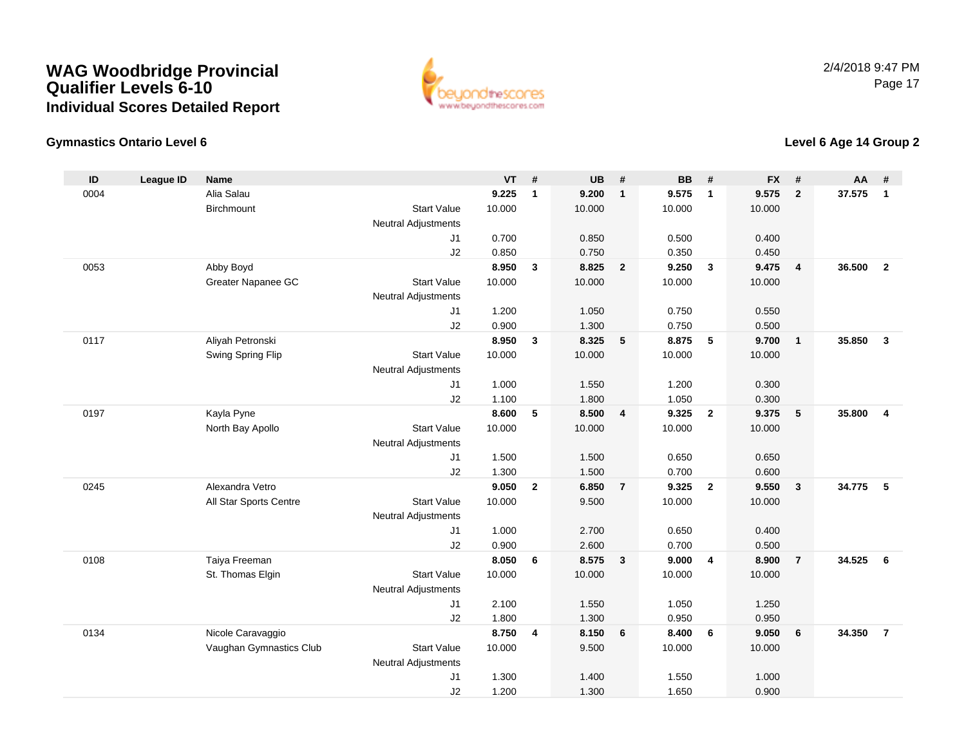

### **Gymnastics Ontario Level 6**

| ID   | <b>League ID</b> | <b>Name</b>             |                            | <b>VT</b>      | #              | <b>UB</b>      | #                       | <b>BB</b>      | #                       | <b>FX</b>      | #              | <b>AA</b> | #              |
|------|------------------|-------------------------|----------------------------|----------------|----------------|----------------|-------------------------|----------------|-------------------------|----------------|----------------|-----------|----------------|
| 0004 |                  | Alia Salau              |                            | 9.225          | $\mathbf{1}$   | 9.200          | $\overline{1}$          | 9.575          | $\mathbf{1}$            | 9.575          | $\mathbf{2}$   | 37.575    | $\overline{1}$ |
|      |                  | Birchmount              | <b>Start Value</b>         | 10.000         |                | 10.000         |                         | 10.000         |                         | 10.000         |                |           |                |
|      |                  |                         | <b>Neutral Adjustments</b> |                |                |                |                         |                |                         |                |                |           |                |
|      |                  |                         | J <sub>1</sub>             | 0.700          |                | 0.850          |                         | 0.500          |                         | 0.400          |                |           |                |
|      |                  |                         | J2                         | 0.850          |                | 0.750          |                         | 0.350          |                         | 0.450          |                |           |                |
| 0053 |                  | Abby Boyd               |                            | 8.950          | $\mathbf{3}$   | 8.825          | $\overline{\mathbf{2}}$ | 9.250          | $\overline{\mathbf{3}}$ | 9.475          | $\overline{4}$ | 36.500    | $\overline{2}$ |
|      |                  | Greater Napanee GC      | <b>Start Value</b>         | 10.000         |                | 10.000         |                         | 10.000         |                         | 10.000         |                |           |                |
|      |                  |                         | Neutral Adjustments        |                |                |                |                         |                |                         |                |                |           |                |
|      |                  |                         | J <sub>1</sub>             | 1.200          |                | 1.050          |                         | 0.750          |                         | 0.550          |                |           |                |
|      |                  |                         | J2                         | 0.900          |                | 1.300          |                         | 0.750          |                         | 0.500          |                |           |                |
| 0117 |                  | Aliyah Petronski        |                            | 8.950          | $\mathbf{3}$   | 8.325          | $5\phantom{1}$          | 8.875          | 5                       | 9.700          | $\mathbf{1}$   | 35.850    | $\mathbf{3}$   |
|      |                  | Swing Spring Flip       | <b>Start Value</b>         | 10.000         |                | 10.000         |                         | 10.000         |                         | 10.000         |                |           |                |
|      |                  |                         | <b>Neutral Adjustments</b> |                |                |                |                         |                |                         |                |                |           |                |
|      |                  |                         | J1                         | 1.000          |                | 1.550          |                         | 1.200          |                         | 0.300          |                |           |                |
|      |                  |                         | J2                         | 1.100          |                | 1.800          |                         | 1.050          |                         | 0.300          |                |           |                |
| 0197 |                  | Kayla Pyne              |                            | 8.600          | 5              | 8.500          | $\overline{4}$          | 9.325          | $\overline{2}$          | 9.375          | 5              | 35.800    | $\overline{4}$ |
|      |                  | North Bay Apollo        | <b>Start Value</b>         | 10.000         |                | 10.000         |                         | 10.000         |                         | 10.000         |                |           |                |
|      |                  |                         | <b>Neutral Adjustments</b> |                |                |                |                         |                |                         |                |                |           |                |
|      |                  |                         | J <sub>1</sub>             | 1.500          |                | 1.500          |                         | 0.650          |                         | 0.650          |                |           |                |
|      |                  |                         | J2                         | 1.300          |                | 1.500          |                         | 0.700          |                         | 0.600          |                |           |                |
| 0245 |                  | Alexandra Vetro         |                            | 9.050          | $\overline{2}$ | 6.850          | $\overline{7}$          | 9.325          | $\overline{2}$          | 9.550          | $\mathbf{3}$   | 34.775    | 5              |
|      |                  | All Star Sports Centre  | <b>Start Value</b>         | 10.000         |                | 9.500          |                         | 10.000         |                         | 10.000         |                |           |                |
|      |                  |                         | <b>Neutral Adjustments</b> |                |                |                |                         |                |                         |                |                |           |                |
|      |                  |                         | J1                         | 1.000          |                | 2.700          |                         | 0.650          |                         | 0.400          |                |           |                |
| 0108 |                  | Taiya Freeman           | J2                         | 0.900<br>8.050 | 6              | 2.600<br>8.575 | $\overline{\mathbf{3}}$ | 0.700<br>9.000 | $\overline{4}$          | 0.500<br>8.900 | $\overline{7}$ | 34.525    | 6              |
|      |                  | St. Thomas Elgin        | <b>Start Value</b>         | 10.000         |                | 10.000         |                         | 10.000         |                         | 10.000         |                |           |                |
|      |                  |                         | Neutral Adjustments        |                |                |                |                         |                |                         |                |                |           |                |
|      |                  |                         | J1                         | 2.100          |                | 1.550          |                         | 1.050          |                         | 1.250          |                |           |                |
|      |                  |                         | J2                         | 1.800          |                | 1.300          |                         | 0.950          |                         | 0.950          |                |           |                |
| 0134 |                  | Nicole Caravaggio       |                            | 8.750          | 4              | 8.150          | $6\phantom{1}6$         | 8.400          | 6                       | 9.050          | 6              | 34.350    | $\overline{7}$ |
|      |                  | Vaughan Gymnastics Club | <b>Start Value</b>         | 10.000         |                | 9.500          |                         | 10.000         |                         | 10.000         |                |           |                |
|      |                  |                         | Neutral Adjustments        |                |                |                |                         |                |                         |                |                |           |                |
|      |                  |                         | J <sub>1</sub>             | 1.300          |                | 1.400          |                         | 1.550          |                         | 1.000          |                |           |                |
|      |                  |                         | J2                         | 1.200          |                | 1.300          |                         | 1.650          |                         | 0.900          |                |           |                |
|      |                  |                         |                            |                |                |                |                         |                |                         |                |                |           |                |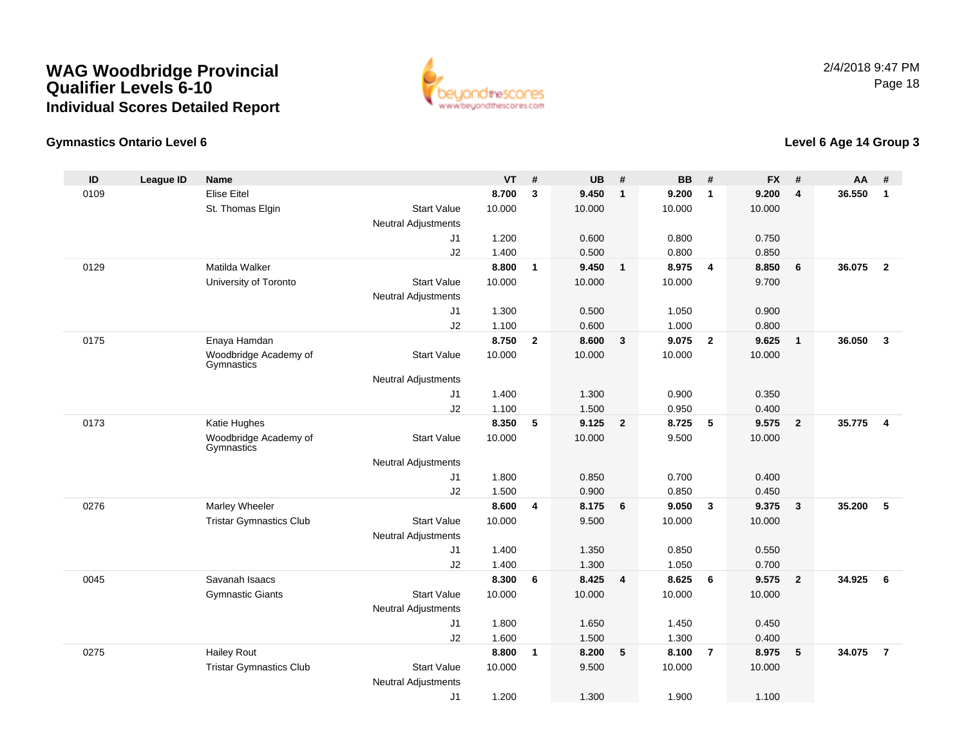

### **Gymnastics Ontario Level 6**

| ID   | <b>League ID</b> | Name                                |                                                  | <b>VT</b> | #            | <b>UB</b> | #                       | <b>BB</b> | #                       | <b>FX</b> | $\pmb{\#}$              | <b>AA</b> | #                       |
|------|------------------|-------------------------------------|--------------------------------------------------|-----------|--------------|-----------|-------------------------|-----------|-------------------------|-----------|-------------------------|-----------|-------------------------|
| 0109 |                  | <b>Elise Eitel</b>                  |                                                  | 8.700     | 3            | 9.450     | $\overline{1}$          | 9.200     | $\mathbf{1}$            | 9.200     | $\overline{\mathbf{4}}$ | 36.550    | $\overline{\mathbf{1}}$ |
|      |                  | St. Thomas Elgin                    | <b>Start Value</b>                               | 10.000    |              | 10.000    |                         | 10.000    |                         | 10.000    |                         |           |                         |
|      |                  |                                     | <b>Neutral Adjustments</b>                       |           |              |           |                         |           |                         |           |                         |           |                         |
|      |                  |                                     | J <sub>1</sub>                                   | 1.200     |              | 0.600     |                         | 0.800     |                         | 0.750     |                         |           |                         |
|      |                  |                                     | J2                                               | 1.400     |              | 0.500     |                         | 0.800     |                         | 0.850     |                         |           |                         |
| 0129 |                  | Matilda Walker                      |                                                  | 8.800     | $\mathbf{1}$ | 9.450     | $\overline{1}$          | 8.975     | $\overline{4}$          | 8.850     | 6                       | 36.075    | $\overline{2}$          |
|      |                  | University of Toronto               | <b>Start Value</b>                               | 10.000    |              | 10.000    |                         | 10.000    |                         | 9.700     |                         |           |                         |
|      |                  |                                     | Neutral Adjustments                              |           |              |           |                         |           |                         |           |                         |           |                         |
|      |                  |                                     | J <sub>1</sub>                                   | 1.300     |              | 0.500     |                         | 1.050     |                         | 0.900     |                         |           |                         |
|      |                  |                                     | J2                                               | 1.100     |              | 0.600     |                         | 1.000     |                         | 0.800     |                         |           |                         |
| 0175 |                  | Enaya Hamdan                        |                                                  | 8.750     | $\mathbf{2}$ | 8.600     | $\overline{\mathbf{3}}$ | 9.075     | $\overline{2}$          | 9.625     | $\mathbf{1}$            | 36.050    | $\overline{\mathbf{3}}$ |
|      |                  | Woodbridge Academy of<br>Gymnastics | <b>Start Value</b>                               | 10.000    |              | 10.000    |                         | 10.000    |                         | 10.000    |                         |           |                         |
|      |                  |                                     | <b>Neutral Adjustments</b>                       |           |              |           |                         |           |                         |           |                         |           |                         |
|      |                  |                                     | J1                                               | 1.400     |              | 1.300     |                         | 0.900     |                         | 0.350     |                         |           |                         |
|      |                  |                                     | J2                                               | 1.100     |              | 1.500     |                         | 0.950     |                         | 0.400     |                         |           |                         |
| 0173 |                  | Katie Hughes                        |                                                  | 8.350     | 5            | 9.125     | $\overline{\mathbf{2}}$ | 8.725     | 5                       | 9.575     | $\mathbf{2}$            | 35.775    | $\overline{\mathbf{4}}$ |
|      |                  | Woodbridge Academy of<br>Gymnastics | <b>Start Value</b>                               | 10.000    |              | 10.000    |                         | 9.500     |                         | 10.000    |                         |           |                         |
|      |                  |                                     | <b>Neutral Adjustments</b>                       |           |              |           |                         |           |                         |           |                         |           |                         |
|      |                  |                                     | J1                                               | 1.800     |              | 0.850     |                         | 0.700     |                         | 0.400     |                         |           |                         |
|      |                  |                                     | J2                                               | 1.500     |              | 0.900     |                         | 0.850     |                         | 0.450     |                         |           |                         |
| 0276 |                  | Marley Wheeler                      |                                                  | 8.600     | 4            | 8.175     | 6                       | 9.050     | $\overline{\mathbf{3}}$ | 9.375     | 3                       | 35.200    | 5                       |
|      |                  | <b>Tristar Gymnastics Club</b>      | <b>Start Value</b>                               | 10.000    |              | 9.500     |                         | 10.000    |                         | 10.000    |                         |           |                         |
|      |                  |                                     | <b>Neutral Adjustments</b>                       |           |              |           |                         |           |                         |           |                         |           |                         |
|      |                  |                                     | J1                                               | 1.400     |              | 1.350     |                         | 0.850     |                         | 0.550     |                         |           |                         |
|      |                  |                                     | J2                                               | 1.400     |              | 1.300     |                         | 1.050     |                         | 0.700     |                         |           |                         |
| 0045 |                  | Savanah Isaacs                      |                                                  | 8.300     | 6            | 8.425     | $\overline{4}$          | 8.625     | 6                       | 9.575     | $\overline{2}$          | 34.925    | 6                       |
|      |                  | <b>Gymnastic Giants</b>             | <b>Start Value</b>                               | 10.000    |              | 10.000    |                         | 10.000    |                         | 10.000    |                         |           |                         |
|      |                  |                                     | Neutral Adjustments                              |           |              |           |                         |           |                         |           |                         |           |                         |
|      |                  |                                     | J1                                               | 1.800     |              | 1.650     |                         | 1.450     |                         | 0.450     |                         |           |                         |
|      |                  |                                     | J2                                               | 1.600     |              | 1.500     |                         | 1.300     |                         | 0.400     |                         |           |                         |
| 0275 |                  | <b>Hailey Rout</b>                  |                                                  | 8.800     | $\mathbf{1}$ | 8.200     | $5\phantom{.0}$         | 8.100     | $\overline{7}$          | 8.975     | 5                       | 34.075    | $\overline{7}$          |
|      |                  | <b>Tristar Gymnastics Club</b>      | <b>Start Value</b><br><b>Neutral Adjustments</b> | 10.000    |              | 9.500     |                         | 10.000    |                         | 10.000    |                         |           |                         |
|      |                  |                                     | J1                                               | 1.200     |              | 1.300     |                         | 1.900     |                         | 1.100     |                         |           |                         |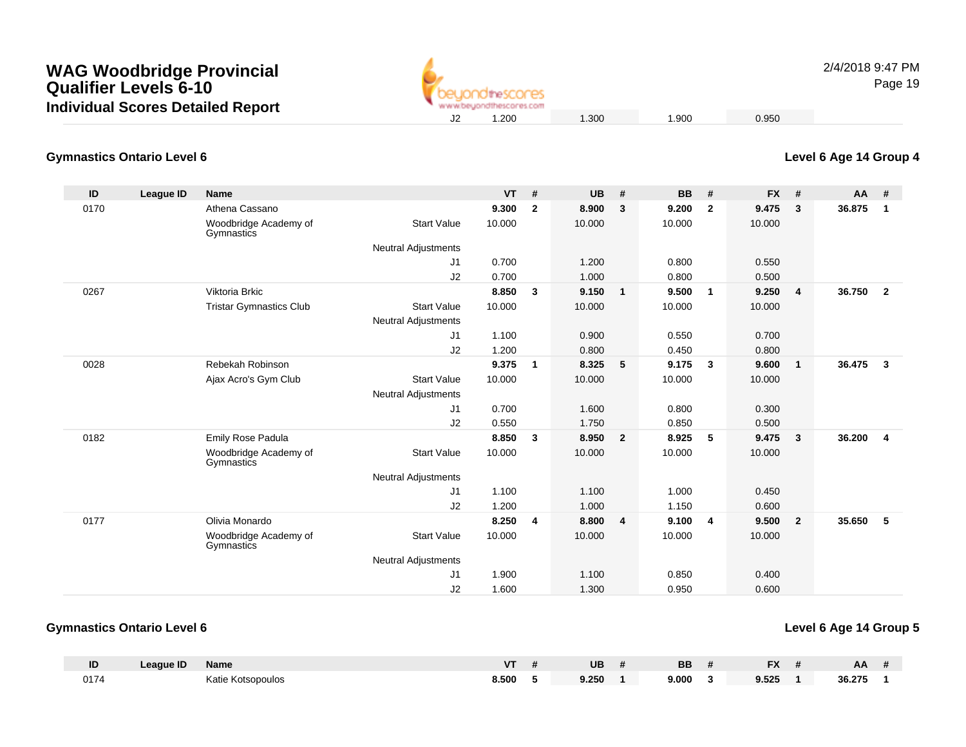

2/4/2018 9:47 PMPage 19

#### **Gymnastics Ontario Level 6**

| ID   | <b>League ID</b> | <b>Name</b>                         |                            | <b>VT</b> | #                       | <b>UB</b> | #                       | <b>BB</b> | #            | <b>FX</b> | #              | AA     | #                       |
|------|------------------|-------------------------------------|----------------------------|-----------|-------------------------|-----------|-------------------------|-----------|--------------|-----------|----------------|--------|-------------------------|
| 0170 |                  | Athena Cassano                      |                            | 9.300     | $\overline{2}$          | 8.900     | 3                       | 9.200     | $\mathbf{2}$ | 9.475     | 3              | 36.875 | $\mathbf{1}$            |
|      |                  | Woodbridge Academy of<br>Gymnastics | <b>Start Value</b>         | 10.000    |                         | 10.000    |                         | 10.000    |              | 10.000    |                |        |                         |
|      |                  |                                     | <b>Neutral Adjustments</b> |           |                         |           |                         |           |              |           |                |        |                         |
|      |                  |                                     | J1                         | 0.700     |                         | 1.200     |                         | 0.800     |              | 0.550     |                |        |                         |
|      |                  |                                     | J2                         | 0.700     |                         | 1.000     |                         | 0.800     |              | 0.500     |                |        |                         |
| 0267 |                  | Viktoria Brkic                      |                            | 8.850     | $\overline{\mathbf{3}}$ | 9.150     | $\overline{1}$          | 9.500     | $\mathbf{1}$ | 9.250     | 4              | 36.750 | $\overline{\mathbf{2}}$ |
|      |                  | <b>Tristar Gymnastics Club</b>      | <b>Start Value</b>         | 10.000    |                         | 10.000    |                         | 10.000    |              | 10.000    |                |        |                         |
|      |                  |                                     | <b>Neutral Adjustments</b> |           |                         |           |                         |           |              |           |                |        |                         |
|      |                  |                                     | J <sub>1</sub>             | 1.100     |                         | 0.900     |                         | 0.550     |              | 0.700     |                |        |                         |
|      |                  |                                     | J2                         | 1.200     |                         | 0.800     |                         | 0.450     |              | 0.800     |                |        |                         |
| 0028 |                  | Rebekah Robinson                    |                            | 9.375     | $\overline{1}$          | 8.325     | 5                       | 9.175     | 3            | 9.600     | $\mathbf{1}$   | 36.475 | $\mathbf{3}$            |
|      |                  | Ajax Acro's Gym Club                | <b>Start Value</b>         | 10.000    |                         | 10.000    |                         | 10.000    |              | 10.000    |                |        |                         |
|      |                  |                                     | <b>Neutral Adjustments</b> |           |                         |           |                         |           |              |           |                |        |                         |
|      |                  |                                     | J1                         | 0.700     |                         | 1.600     |                         | 0.800     |              | 0.300     |                |        |                         |
|      |                  |                                     | J2                         | 0.550     |                         | 1.750     |                         | 0.850     |              | 0.500     |                |        |                         |
| 0182 |                  | Emily Rose Padula                   |                            | 8.850     | $\mathbf{3}$            | 8.950     | $\overline{\mathbf{2}}$ | 8.925     | 5            | 9.475     | $\mathbf{3}$   | 36.200 | $\overline{4}$          |
|      |                  | Woodbridge Academy of<br>Gymnastics | <b>Start Value</b>         | 10.000    |                         | 10.000    |                         | 10.000    |              | 10.000    |                |        |                         |
|      |                  |                                     | <b>Neutral Adjustments</b> |           |                         |           |                         |           |              |           |                |        |                         |
|      |                  |                                     | J <sub>1</sub>             | 1.100     |                         | 1.100     |                         | 1.000     |              | 0.450     |                |        |                         |
|      |                  |                                     | J2                         | 1.200     |                         | 1.000     |                         | 1.150     |              | 0.600     |                |        |                         |
| 0177 |                  | Olivia Monardo                      |                            | 8.250     | $\overline{4}$          | 8.800     | $\overline{4}$          | 9.100     | 4            | 9.500     | $\overline{2}$ | 35.650 | 5                       |
|      |                  | Woodbridge Academy of<br>Gymnastics | <b>Start Value</b>         | 10.000    |                         | 10.000    |                         | 10.000    |              | 10.000    |                |        |                         |
|      |                  |                                     | <b>Neutral Adjustments</b> |           |                         |           |                         |           |              |           |                |        |                         |
|      |                  |                                     | J1                         | 1.900     |                         | 1.100     |                         | 0.850     |              | 0.400     |                |        |                         |
|      |                  |                                     | J2                         | 1.600     |                         | 1.300     |                         | 0.950     |              | 0.600     |                |        |                         |

#### **Gymnastics Ontario Level 6**

| Level 6 Age 14 Group 5 |  |
|------------------------|--|
|------------------------|--|

| ID   | <b>League ID</b> | Name              | <b>VT</b> | UB    | <b>BB</b> | <b>EV</b><br>гΛ. | AA     |  |
|------|------------------|-------------------|-----------|-------|-----------|------------------|--------|--|
| 0174 |                  | Katie Kotsopoulos | 8.500     | 9.250 | 9.000     | 9.525            | 36.275 |  |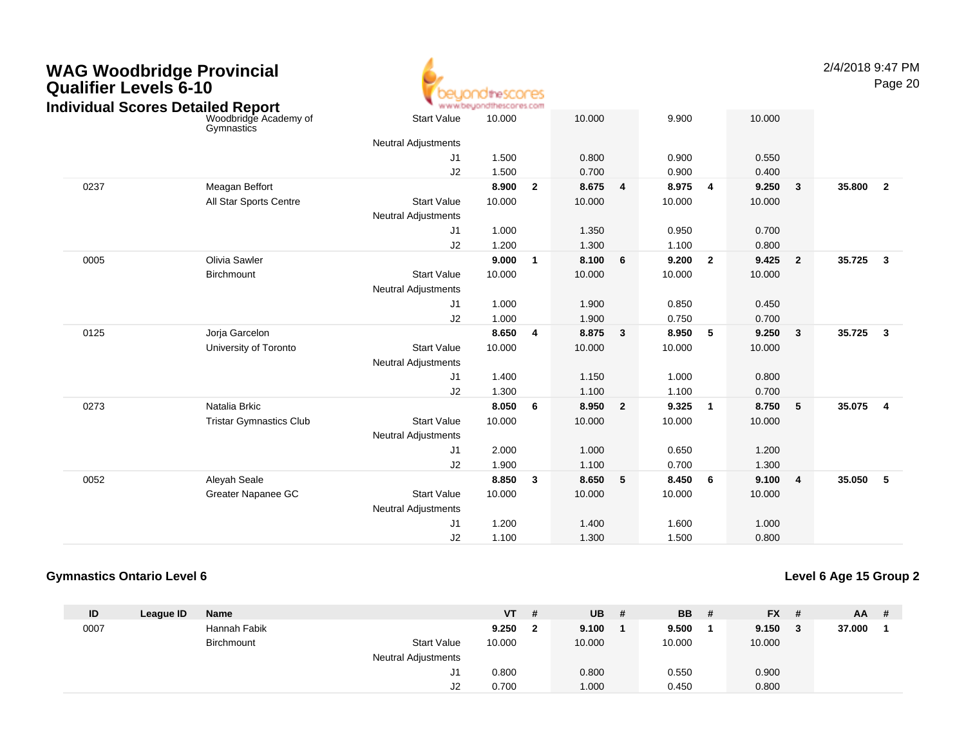

2/4/2018 9:47 PMPage 20

|      | Individual Scores Detailed Report   | ъ.                         | www.beyondthescores.com |                |        |                |        |                |        |                         |        |                         |
|------|-------------------------------------|----------------------------|-------------------------|----------------|--------|----------------|--------|----------------|--------|-------------------------|--------|-------------------------|
|      | Woodbridge Academy of<br>Gymnastics | Start Value                | 10.000                  |                | 10.000 |                | 9.900  |                | 10.000 |                         |        |                         |
|      |                                     | <b>Neutral Adjustments</b> |                         |                |        |                |        |                |        |                         |        |                         |
|      |                                     | J1                         | 1.500                   |                | 0.800  |                | 0.900  |                | 0.550  |                         |        |                         |
|      |                                     | J2                         | 1.500                   |                | 0.700  |                | 0.900  |                | 0.400  |                         |        |                         |
| 0237 | Meagan Beffort                      |                            | 8.900                   | $\overline{2}$ | 8.675  | 4              | 8.975  | 4              | 9.250  | $\overline{\mathbf{3}}$ | 35.800 | $\overline{2}$          |
|      | All Star Sports Centre              | <b>Start Value</b>         | 10.000                  |                | 10.000 |                | 10.000 |                | 10.000 |                         |        |                         |
|      |                                     | <b>Neutral Adjustments</b> |                         |                |        |                |        |                |        |                         |        |                         |
|      |                                     | J1                         | 1.000                   |                | 1.350  |                | 0.950  |                | 0.700  |                         |        |                         |
|      |                                     | J2                         | 1.200                   |                | 1.300  |                | 1.100  |                | 0.800  |                         |        |                         |
| 0005 | Olivia Sawler                       |                            | 9.000                   | $\overline{1}$ | 8.100  | 6              | 9.200  | $\overline{2}$ | 9.425  | $\overline{\mathbf{2}}$ | 35.725 | $\mathbf{3}$            |
|      | Birchmount                          | <b>Start Value</b>         | 10.000                  |                | 10.000 |                | 10.000 |                | 10.000 |                         |        |                         |
|      |                                     | <b>Neutral Adjustments</b> |                         |                |        |                |        |                |        |                         |        |                         |
|      |                                     | J <sub>1</sub>             | 1.000                   |                | 1.900  |                | 0.850  |                | 0.450  |                         |        |                         |
|      |                                     | J2                         | 1.000                   |                | 1.900  |                | 0.750  |                | 0.700  |                         |        |                         |
| 0125 | Jorja Garcelon                      |                            | 8.650                   | $\overline{4}$ | 8.875  | $\mathbf{3}$   | 8.950  | 5              | 9.250  | $\overline{\mathbf{3}}$ | 35.725 | $\mathbf{3}$            |
|      | University of Toronto               | <b>Start Value</b>         | 10.000                  |                | 10.000 |                | 10.000 |                | 10.000 |                         |        |                         |
|      |                                     | Neutral Adjustments        |                         |                |        |                |        |                |        |                         |        |                         |
|      |                                     | J <sub>1</sub>             | 1.400                   |                | 1.150  |                | 1.000  |                | 0.800  |                         |        |                         |
|      |                                     | J2                         | 1.300                   |                | 1.100  |                | 1.100  |                | 0.700  |                         |        |                         |
| 0273 | Natalia Brkic                       |                            | 8.050                   | 6              | 8.950  | $\overline{2}$ | 9.325  | 1              | 8.750  | $\sqrt{5}$              | 35.075 | $\overline{\mathbf{4}}$ |
|      | <b>Tristar Gymnastics Club</b>      | <b>Start Value</b>         | 10.000                  |                | 10.000 |                | 10.000 |                | 10.000 |                         |        |                         |
|      |                                     | <b>Neutral Adjustments</b> |                         |                |        |                |        |                |        |                         |        |                         |
|      |                                     | J <sub>1</sub>             | 2.000                   |                | 1.000  |                | 0.650  |                | 1.200  |                         |        |                         |
|      |                                     | J2                         | 1.900                   |                | 1.100  |                | 0.700  |                | 1.300  |                         |        |                         |
| 0052 | Aleyah Seale                        |                            | 8.850                   | $\mathbf{3}$   | 8.650  | 5              | 8.450  | 6              | 9.100  | $\overline{4}$          | 35.050 | $5\phantom{.0}$         |
|      | Greater Napanee GC                  | <b>Start Value</b>         | 10.000                  |                | 10.000 |                | 10.000 |                | 10.000 |                         |        |                         |
|      |                                     | Neutral Adjustments        |                         |                |        |                |        |                |        |                         |        |                         |
|      |                                     | J <sub>1</sub>             | 1.200                   |                | 1.400  |                | 1.600  |                | 1.000  |                         |        |                         |
|      |                                     | J2                         | 1.100                   |                | 1.300  |                | 1.500  |                | 0.800  |                         |        |                         |
|      |                                     |                            |                         |                |        |                |        |                |        |                         |        |                         |

#### **Gymnastics Ontario Level 6**

| ID   | League ID | <b>Name</b>  |                            | VT     | # | <b>UB</b> | # | <b>BB</b> | $FX$ #      | <b>AA</b> | - # |
|------|-----------|--------------|----------------------------|--------|---|-----------|---|-----------|-------------|-----------|-----|
| 0007 |           | Hannah Fabik |                            | 9.250  |   | 9.100     |   | 9.500     | $9.150 \t3$ | 37.000    |     |
|      |           | Birchmount   | <b>Start Value</b>         | 10.000 |   | 10.000    |   | 10.000    | 10.000      |           |     |
|      |           |              | <b>Neutral Adjustments</b> |        |   |           |   |           |             |           |     |
|      |           |              | J1                         | 0.800  |   | 0.800     |   | 0.550     | 0.900       |           |     |
|      |           |              | J2                         | 0.700  |   | 1.000     |   | 0.450     | 0.800       |           |     |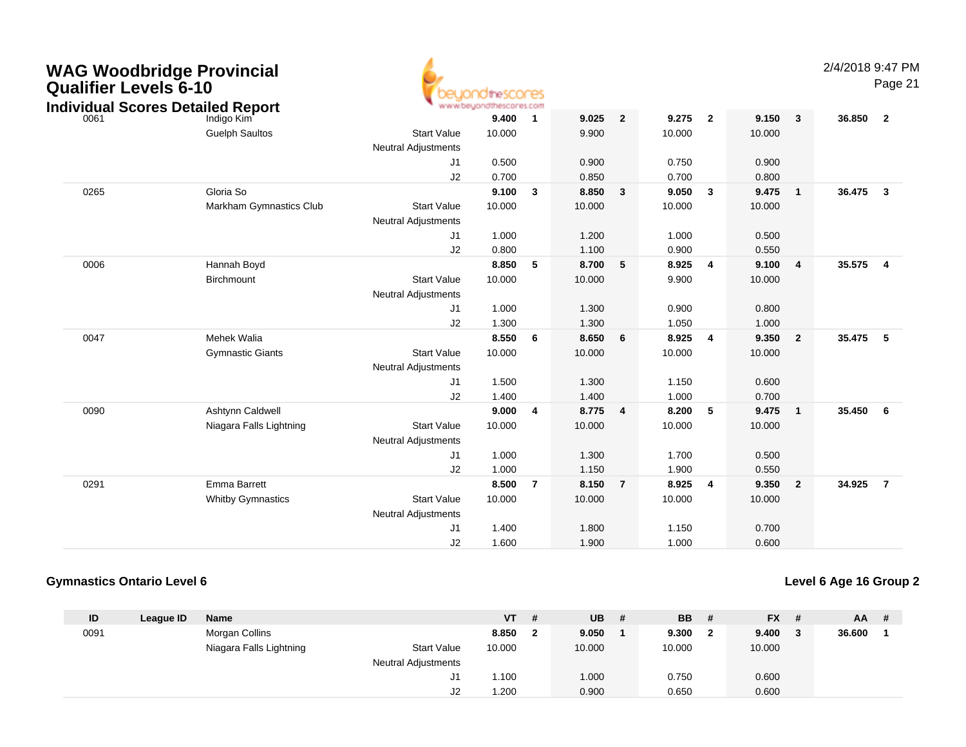| <b>WAG Woodbridge Provincial</b><br><b>Qualifier Levels 6-10</b><br><b>Individual Scores Detailed Report</b> |                          |                                                  | theSCOCES<br>www.beyondthescores.com |                |        |                |        |                         |        |                         | 2/4/2018 9:47 PM | Page 21                 |
|--------------------------------------------------------------------------------------------------------------|--------------------------|--------------------------------------------------|--------------------------------------|----------------|--------|----------------|--------|-------------------------|--------|-------------------------|------------------|-------------------------|
| 0061                                                                                                         | Indigo Kim               |                                                  | 9.400                                | -1             | 9.025  | $\overline{2}$ | 9.275  | $\overline{\mathbf{2}}$ | 9.150  | $\mathbf{3}$            | 36.850           | $\overline{\mathbf{2}}$ |
|                                                                                                              | <b>Guelph Saultos</b>    | <b>Start Value</b>                               | 10.000                               |                | 9.900  |                | 10.000 |                         | 10.000 |                         |                  |                         |
|                                                                                                              |                          | <b>Neutral Adjustments</b>                       |                                      |                |        |                |        |                         |        |                         |                  |                         |
|                                                                                                              |                          | J <sub>1</sub>                                   | 0.500                                |                | 0.900  |                | 0.750  |                         | 0.900  |                         |                  |                         |
|                                                                                                              |                          | J2                                               | 0.700                                |                | 0.850  |                | 0.700  |                         | 0.800  |                         |                  |                         |
| 0265                                                                                                         | Gloria So                |                                                  | 9.100                                | $\mathbf{3}$   | 8.850  | $\mathbf{3}$   | 9.050  | $\mathbf{3}$            | 9.475  | $\mathbf{1}$            | 36.475           | $\overline{\mathbf{3}}$ |
|                                                                                                              | Markham Gymnastics Club  | <b>Start Value</b><br><b>Neutral Adjustments</b> | 10.000                               |                | 10.000 |                | 10.000 |                         | 10.000 |                         |                  |                         |
|                                                                                                              |                          | J1                                               | 1.000                                |                | 1.200  |                | 1.000  |                         | 0.500  |                         |                  |                         |
|                                                                                                              |                          | J2                                               | 0.800                                |                | 1.100  |                | 0.900  |                         | 0.550  |                         |                  |                         |
| 0006                                                                                                         | Hannah Boyd              |                                                  | 8.850                                | 5              | 8.700  | 5              | 8.925  | 4                       | 9.100  | $\overline{\mathbf{4}}$ | 35.575           | $\overline{4}$          |
|                                                                                                              | Birchmount               | <b>Start Value</b>                               | 10.000                               |                | 10.000 |                | 9.900  |                         | 10.000 |                         |                  |                         |
|                                                                                                              |                          | <b>Neutral Adjustments</b>                       |                                      |                |        |                |        |                         |        |                         |                  |                         |
|                                                                                                              |                          | J1                                               | 1.000                                |                | 1.300  |                | 0.900  |                         | 0.800  |                         |                  |                         |
|                                                                                                              |                          | J2                                               | 1.300                                |                | 1.300  |                | 1.050  |                         | 1.000  |                         |                  |                         |
| 0047                                                                                                         | Mehek Walia              |                                                  | 8.550                                | 6              | 8.650  | 6              | 8.925  | $\overline{4}$          | 9.350  | $\overline{2}$          | 35.475           | $-5$                    |
|                                                                                                              | <b>Gymnastic Giants</b>  | <b>Start Value</b>                               | 10.000                               |                | 10.000 |                | 10.000 |                         | 10.000 |                         |                  |                         |
|                                                                                                              |                          | <b>Neutral Adjustments</b>                       |                                      |                |        |                |        |                         |        |                         |                  |                         |
|                                                                                                              |                          | J1                                               | 1.500                                |                | 1.300  |                | 1.150  |                         | 0.600  |                         |                  |                         |
|                                                                                                              |                          | J2                                               | 1.400                                |                | 1.400  |                | 1.000  |                         | 0.700  |                         |                  |                         |
| 0090                                                                                                         | Ashtynn Caldwell         |                                                  | 9.000                                | $\overline{4}$ | 8.775  | $\overline{4}$ | 8.200  | 5                       | 9.475  | $\mathbf{1}$            | 35.450           | 6                       |
|                                                                                                              | Niagara Falls Lightning  | <b>Start Value</b>                               | 10.000                               |                | 10.000 |                | 10.000 |                         | 10.000 |                         |                  |                         |
|                                                                                                              |                          | <b>Neutral Adjustments</b>                       |                                      |                |        |                |        |                         |        |                         |                  |                         |
|                                                                                                              |                          | J1                                               | 1.000                                |                | 1.300  |                | 1.700  |                         | 0.500  |                         |                  |                         |
|                                                                                                              |                          | J2                                               | 1.000                                |                | 1.150  |                | 1.900  |                         | 0.550  |                         |                  |                         |
| 0291                                                                                                         | <b>Emma Barrett</b>      |                                                  | 8.500                                | $\overline{7}$ | 8.150  | $\overline{7}$ | 8.925  | $\overline{\mathbf{4}}$ | 9.350  | $\mathbf{2}$            | 34.925           | $\overline{7}$          |
|                                                                                                              | <b>Whitby Gymnastics</b> | <b>Start Value</b>                               | 10.000                               |                | 10.000 |                | 10.000 |                         | 10.000 |                         |                  |                         |
|                                                                                                              |                          | <b>Neutral Adjustments</b>                       |                                      |                |        |                |        |                         |        |                         |                  |                         |
|                                                                                                              |                          | J1                                               | 1.400                                |                | 1.800  |                | 1.150  |                         | 0.700  |                         |                  |                         |
|                                                                                                              |                          | J2                                               | 1.600                                |                | 1.900  |                | 1.000  |                         | 0.600  |                         |                  |                         |

### **Gymnastics Ontario Level 6**

| ID   | League ID | <b>Name</b>             |                            | <b>VT</b> | # | <b>UB</b> | # | <b>BB</b> |   | $FX$ # | AA     | -# |
|------|-----------|-------------------------|----------------------------|-----------|---|-----------|---|-----------|---|--------|--------|----|
| 0091 |           | Morgan Collins          |                            | 8.850     |   | 9.050     |   | 9.300     | 2 | 9.400  | 36.600 |    |
|      |           | Niagara Falls Lightning | <b>Start Value</b>         | 10.000    |   | 10.000    |   | 10.000    |   | 10.000 |        |    |
|      |           |                         | <b>Neutral Adjustments</b> |           |   |           |   |           |   |        |        |    |
|      |           |                         | J1                         | 1.00،     |   | 1.000     |   | 0.750     |   | 0.600  |        |    |
|      |           |                         | J2                         | 1.200     |   | 0.900     |   | 0.650     |   | 0.600  |        |    |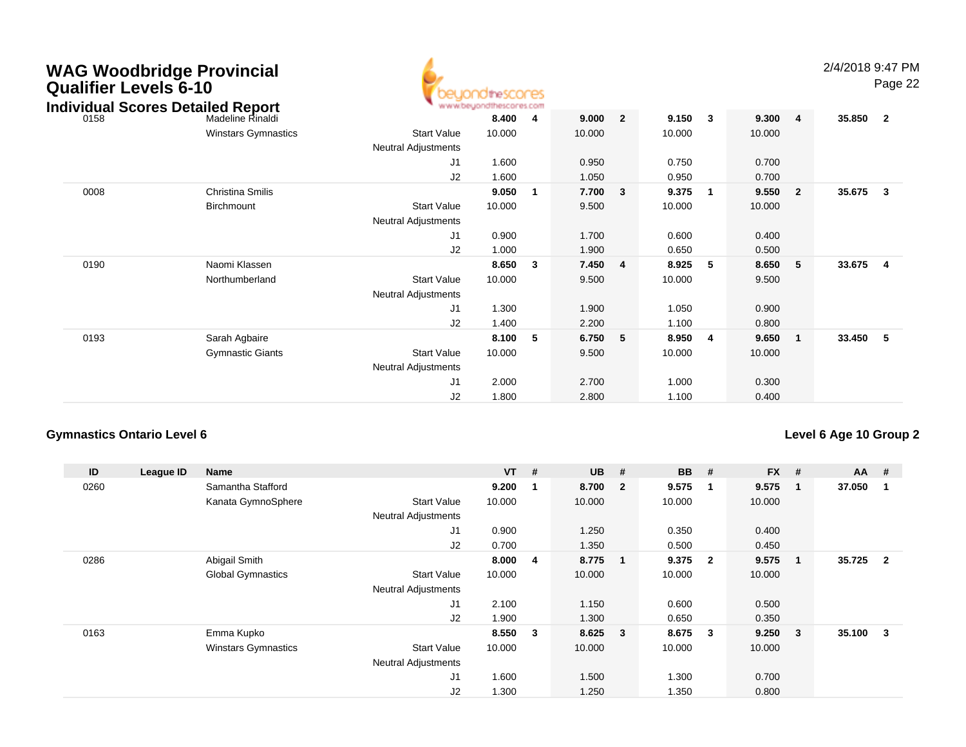| <b>Qualifier Levels 6-10</b> | <b>WAG Woodbridge Provincial</b><br><b>Individual Scores Detailed Report</b> |                            | <b>Idirescores</b> |                |        |                |        |                         |        |                         | 2/4/2018 9:47 PM | Page 22                 |
|------------------------------|------------------------------------------------------------------------------|----------------------------|--------------------|----------------|--------|----------------|--------|-------------------------|--------|-------------------------|------------------|-------------------------|
| 0158                         | Madeline Rinaldi                                                             |                            | 8.400              | $\overline{4}$ | 9.000  | $\overline{2}$ | 9.150  | $\overline{\mathbf{3}}$ | 9.300  | $\overline{\mathbf{4}}$ | 35.850           | $\overline{\mathbf{2}}$ |
|                              | <b>Winstars Gymnastics</b>                                                   | <b>Start Value</b>         | 10.000             |                | 10.000 |                | 10.000 |                         | 10.000 |                         |                  |                         |
|                              |                                                                              | <b>Neutral Adjustments</b> |                    |                |        |                |        |                         |        |                         |                  |                         |
|                              |                                                                              | J1                         | 1.600              |                | 0.950  |                | 0.750  |                         | 0.700  |                         |                  |                         |
|                              |                                                                              | J2                         | 1.600              |                | 1.050  |                | 0.950  |                         | 0.700  |                         |                  |                         |
| 0008                         | Christina Smilis                                                             |                            | 9.050              | -1             | 7.700  | 3              | 9.375  | -1                      | 9.550  | $\overline{2}$          | 35.675           | $\overline{\mathbf{3}}$ |
|                              | <b>Birchmount</b>                                                            | <b>Start Value</b>         | 10.000             |                | 9.500  |                | 10.000 |                         | 10.000 |                         |                  |                         |
|                              |                                                                              | Neutral Adjustments        |                    |                |        |                |        |                         |        |                         |                  |                         |
|                              |                                                                              | J1                         | 0.900              |                | 1.700  |                | 0.600  |                         | 0.400  |                         |                  |                         |
|                              |                                                                              | J2                         | 1.000              |                | 1.900  |                | 0.650  |                         | 0.500  |                         |                  |                         |
| 0190                         | Naomi Klassen                                                                |                            | 8.650              | 3              | 7.450  | $\overline{4}$ | 8.925  | 5                       | 8.650  | 5                       | 33.675           | $\overline{4}$          |
|                              | Northumberland                                                               | <b>Start Value</b>         | 10.000             |                | 9.500  |                | 10.000 |                         | 9.500  |                         |                  |                         |
|                              |                                                                              | Neutral Adjustments        |                    |                |        |                |        |                         |        |                         |                  |                         |
|                              |                                                                              | J1                         | 1.300              |                | 1.900  |                | 1.050  |                         | 0.900  |                         |                  |                         |
|                              |                                                                              | J2                         | 1.400              |                | 2.200  |                | 1.100  |                         | 0.800  |                         |                  |                         |
| 0193                         | Sarah Agbaire                                                                |                            | 8.100              | 5              | 6.750  | 5              | 8.950  | -4                      | 9.650  | $\mathbf 1$             | 33.450           | - 5                     |
|                              | <b>Gymnastic Giants</b>                                                      | <b>Start Value</b>         | 10.000             |                | 9.500  |                | 10.000 |                         | 10.000 |                         |                  |                         |
|                              |                                                                              | <b>Neutral Adjustments</b> |                    |                |        |                |        |                         |        |                         |                  |                         |
|                              |                                                                              | J1                         | 2.000              |                | 2.700  |                | 1.000  |                         | 0.300  |                         |                  |                         |
|                              |                                                                              | J <sub>2</sub>             | 1.800              |                | 2.800  |                | 1.100  |                         | 0.400  |                         |                  |                         |

### **Gymnastics Ontario Level 6**

| ID   | League ID | <b>Name</b>                |                            | $VT$ # |                         | <b>UB</b> | #                       | <b>BB</b> | #              | $FX$ # |              | <b>AA</b> | #                       |
|------|-----------|----------------------------|----------------------------|--------|-------------------------|-----------|-------------------------|-----------|----------------|--------|--------------|-----------|-------------------------|
| 0260 |           | Samantha Stafford          |                            | 9.200  | $\overline{\mathbf{1}}$ | 8.700     | $\overline{\mathbf{2}}$ | 9.575     | -1             | 9.575  | $\mathbf 1$  | 37.050    |                         |
|      |           | Kanata GymnoSphere         | <b>Start Value</b>         | 10.000 |                         | 10.000    |                         | 10.000    |                | 10.000 |              |           |                         |
|      |           |                            | <b>Neutral Adjustments</b> |        |                         |           |                         |           |                |        |              |           |                         |
|      |           |                            | J <sub>1</sub>             | 0.900  |                         | 1.250     |                         | 0.350     |                | 0.400  |              |           |                         |
|      |           |                            | J2                         | 0.700  |                         | 1.350     |                         | 0.500     |                | 0.450  |              |           |                         |
| 0286 |           | Abigail Smith              |                            | 8.000  | $\overline{4}$          | 8.775     | $\overline{1}$          | 9.375     | $\overline{2}$ | 9.575  | -1           | 35.725    | $\overline{\mathbf{2}}$ |
|      |           | <b>Global Gymnastics</b>   | <b>Start Value</b>         | 10.000 |                         | 10.000    |                         | 10.000    |                | 10.000 |              |           |                         |
|      |           |                            | <b>Neutral Adjustments</b> |        |                         |           |                         |           |                |        |              |           |                         |
|      |           |                            | J <sub>1</sub>             | 2.100  |                         | 1.150     |                         | 0.600     |                | 0.500  |              |           |                         |
|      |           |                            | J2                         | 1.900  |                         | 1.300     |                         | 0.650     |                | 0.350  |              |           |                         |
| 0163 |           | Emma Kupko                 |                            | 8.550  | $\overline{\mathbf{3}}$ | 8.625     | $\overline{\mathbf{3}}$ | 8.675     | 3              | 9.250  | $\mathbf{3}$ | 35.100 3  |                         |
|      |           | <b>Winstars Gymnastics</b> | <b>Start Value</b>         | 10.000 |                         | 10.000    |                         | 10.000    |                | 10.000 |              |           |                         |
|      |           |                            | <b>Neutral Adjustments</b> |        |                         |           |                         |           |                |        |              |           |                         |
|      |           |                            | J <sub>1</sub>             | 1.600  |                         | 1.500     |                         | 1.300     |                | 0.700  |              |           |                         |
|      |           |                            | J <sub>2</sub>             | 1.300  |                         | 1.250     |                         | 1.350     |                | 0.800  |              |           |                         |